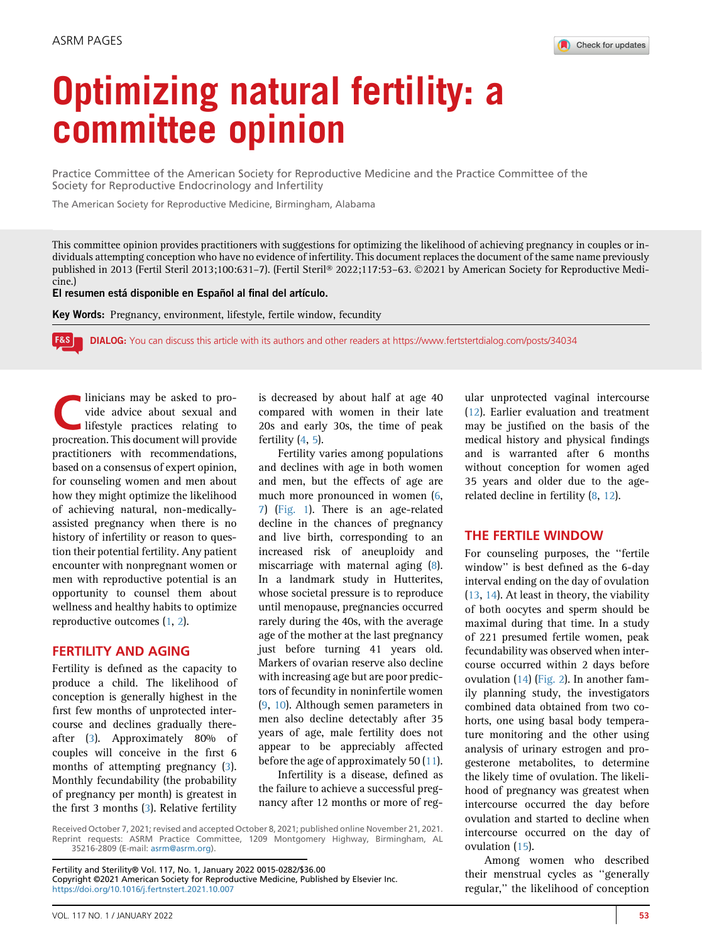# Optimizing natural fertility: a committee opinion

Practice Committee of the American Society for Reproductive Medicine and the Practice Committee of the Society for Reproductive Endocrinology and Infertility

The American Society for Reproductive Medicine, Birmingham, Alabama

This committee opinion provides practitioners with suggestions for optimizing the likelihood of achieving pregnancy in couples or individuals attempting conception who have no evidence of infertility. This document replaces the document of the same name previously published in 2013 (Fertil Steril 2013;100:631-7). (Fertil Steril® 2022;117:53-63. ©2021 by American Society for Reproductive Medicine.)

El resumen está disponible en Español al final del artículo.

Key Words: Pregnancy, environment, lifestyle, fertile window, fecundity

l F&S l DIALOG: You can discuss this article with its authors and other readers at<https://www.fertstertdialog.com/posts/34034>

Inicians may be asked to provide advice about sexual and<br>
lifestyle practices relating to<br>
procreation This document will provide vide advice about sexual and procreation. This document will provide practitioners with recommendations, based on a consensus of expert opinion, for counseling women and men about how they might optimize the likelihood of achieving natural, non-medicallyassisted pregnancy when there is no history of infertility or reason to question their potential fertility. Any patient encounter with nonpregnant women or men with reproductive potential is an opportunity to counsel them about wellness and healthy habits to optimize reproductive outcomes [\(1,](#page-6-0) [2](#page-6-1)).

## FERTILITY AND AGING

Fertility is defined as the capacity to produce a child. The likelihood of conception is generally highest in the first few months of unprotected intercourse and declines gradually thereafter ([3\)](#page-6-2). Approximately 80% of couples will conceive in the first 6 months of attempting pregnancy ([3\)](#page-6-2). Monthly fecundability (the probability of pregnancy per month) is greatest in the first 3 months ([3\)](#page-6-2). Relative fertility

is decreased by about half at age 40 compared with women in their late 20s and early 30s, the time of peak fertility [\(4](#page-6-3), [5](#page-6-4)).

Fertility varies among populations and declines with age in both women and men, but the effects of age are much more pronounced in women ([6](#page-6-5), [7](#page-6-6)) [\(Fig. 1\)](#page-1-0). There is an age-related decline in the chances of pregnancy and live birth, corresponding to an increased risk of aneuploidy and miscarriage with maternal aging [\(8\)](#page-6-7). In a landmark study in Hutterites, whose societal pressure is to reproduce until menopause, pregnancies occurred rarely during the 40s, with the average age of the mother at the last pregnancy just before turning 41 years old. Markers of ovarian reserve also decline with increasing age but are poor predictors of fecundity in noninfertile women ([9,](#page-6-8) [10\)](#page-6-9). Although semen parameters in men also decline detectably after 35 years of age, male fertility does not appear to be appreciably affected before the age of approximately 50  $(11)$ .

Infertility is a disease, defined as the failure to achieve a successful pregnancy after 12 months or more of reg-

Received October 7, 2021; revised and accepted October 8, 2021; published online November 21, 2021. Reprint requests: ASRM Practice Committee, 1209 Montgomery Highway, Birmingham, AL 35216-2809 (E-mail: [asrm@asrm.org](mailto:asrm@asrm.org)).

ular unprotected vaginal intercourse [\(12\)](#page-6-11). Earlier evaluation and treatment may be justified on the basis of the medical history and physical findings and is warranted after 6 months without conception for women aged 35 years and older due to the age-related decline in fertility ([8](#page-6-7), [12\)](#page-6-11).

#### THE FERTILE WINDOW

For counseling purposes, the ''fertile window'' is best defined as the 6-day interval ending on the day of ovulation [\(13,](#page-6-12) [14](#page-6-13)). At least in theory, the viability of both oocytes and sperm should be maximal during that time. In a study of 221 presumed fertile women, peak fecundability was observed when intercourse occurred within 2 days before ovulation [\(14\)](#page-6-13) ([Fig. 2](#page-1-1)). In another family planning study, the investigators combined data obtained from two cohorts, one using basal body temperature monitoring and the other using analysis of urinary estrogen and progesterone metabolites, to determine the likely time of ovulation. The likelihood of pregnancy was greatest when intercourse occurred the day before ovulation and started to decline when intercourse occurred on the day of ovulation [\(15\)](#page-6-14).

Among women who described their menstrual cycles as ''generally regular,'' the likelihood of conception

Fertility and Sterility® Vol. 117, No. 1, January 2022 0015-0282/\$36.00 Copyright ©2021 American Society for Reproductive Medicine, Published by Elsevier Inc. <https://doi.org/10.1016/j.fertnstert.2021.10.007>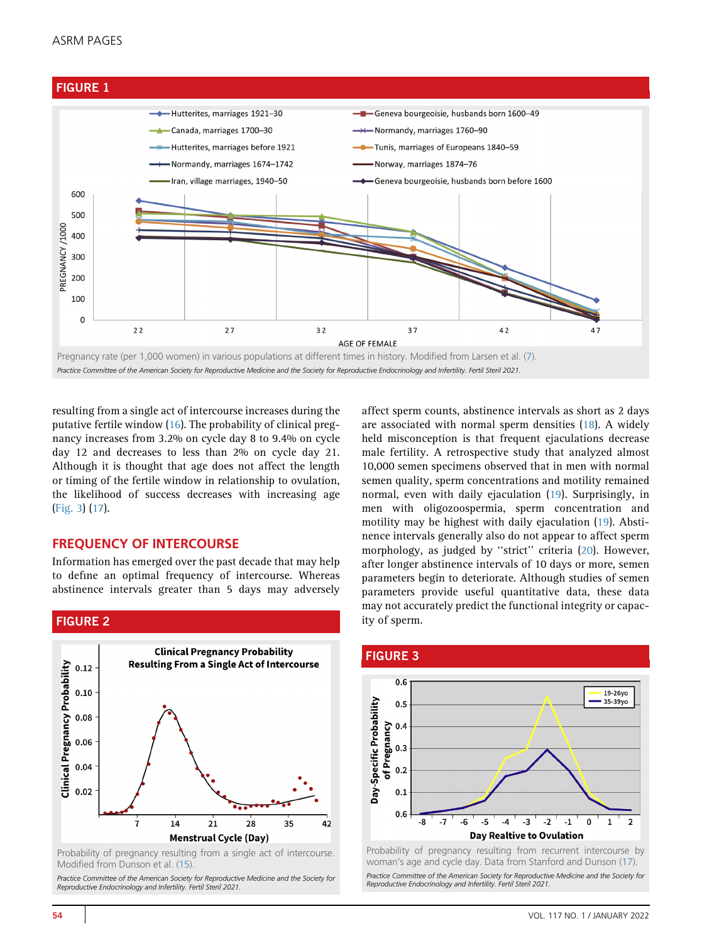## ASRM PAGES

<span id="page-1-0"></span>



resulting from a single act of intercourse increases during the putative fertile window ([16](#page-6-15)). The probability of clinical pregnancy increases from 3.2% on cycle day 8 to 9.4% on cycle day 12 and decreases to less than 2% on cycle day 21. Although it is thought that age does not affect the length or timing of the fertile window in relationship to ovulation, the likelihood of success decreases with increasing age ([Fig. 3\)](#page-1-2) ([17](#page-6-16)).

## FREQUENCY OF INTERCOURSE

Information has emerged over the past decade that may help to define an optimal frequency of intercourse. Whereas abstinence intervals greater than 5 days may adversely

# <span id="page-1-1"></span>FIGURE 2



Probability of pregnancy resulting from a single act of intercourse. Modified from Dunson et al. ([15\)](#page-6-14).

Practice Committee of the American Society for Reproductive Medicine and the Society for Reproductive Endocrinology and Infertility. Fertil Steril 2021.

affect sperm counts, abstinence intervals as short as 2 days are associated with normal sperm densities [\(18](#page-6-17)). A widely held misconception is that frequent ejaculations decrease male fertility. A retrospective study that analyzed almost 10,000 semen specimens observed that in men with normal semen quality, sperm concentrations and motility remained normal, even with daily ejaculation [\(19\)](#page-6-18). Surprisingly, in men with oligozoospermia, sperm concentration and motility may be highest with daily ejaculation [\(19](#page-6-18)). Abstinence intervals generally also do not appear to affect sperm morphology, as judged by ''strict'' criteria ([20\)](#page-6-19). However, after longer abstinence intervals of 10 days or more, semen parameters begin to deteriorate. Although studies of semen parameters provide useful quantitative data, these data may not accurately predict the functional integrity or capacity of sperm.

<span id="page-1-2"></span>

woman's age and cycle day. Data from Stanford and Dunson ([17](#page-6-16)). Practice Committee of the American Society for Reproductive Medicine and the Society for Reproductive Endocrinology and Infertility. Fertil Steril 2021.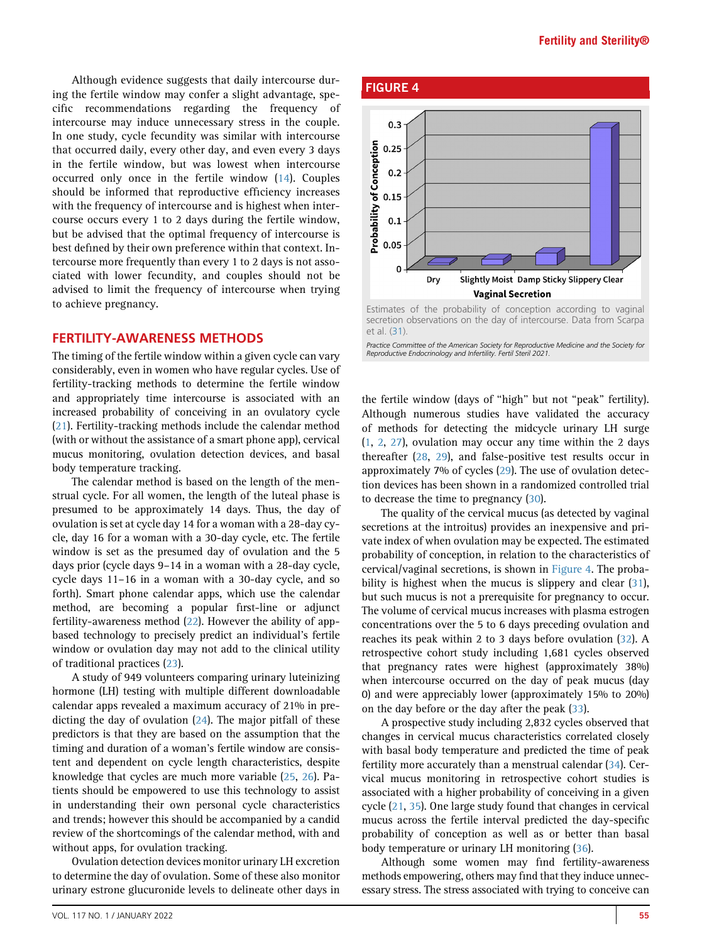Although evidence suggests that daily intercourse during the fertile window may confer a slight advantage, specific recommendations regarding the frequency of intercourse may induce unnecessary stress in the couple. In one study, cycle fecundity was similar with intercourse that occurred daily, every other day, and even every 3 days in the fertile window, but was lowest when intercourse occurred only once in the fertile window ([14\)](#page-6-13). Couples should be informed that reproductive efficiency increases with the frequency of intercourse and is highest when intercourse occurs every 1 to 2 days during the fertile window, but be advised that the optimal frequency of intercourse is best defined by their own preference within that context. Intercourse more frequently than every 1 to 2 days is not associated with lower fecundity, and couples should not be advised to limit the frequency of intercourse when trying to achieve pregnancy.

# FERTILITY-AWARENESS METHODS

The timing of the fertile window within a given cycle can vary considerably, even in women who have regular cycles. Use of fertility-tracking methods to determine the fertile window and appropriately time intercourse is associated with an increased probability of conceiving in an ovulatory cycle [\(21](#page-6-20)). Fertility-tracking methods include the calendar method (with or without the assistance of a smart phone app), cervical mucus monitoring, ovulation detection devices, and basal body temperature tracking.

The calendar method is based on the length of the menstrual cycle. For all women, the length of the luteal phase is presumed to be approximately 14 days. Thus, the day of ovulation is set at cycle day 14 for a woman with a 28-day cycle, day 16 for a woman with a 30-day cycle, etc. The fertile window is set as the presumed day of ovulation and the 5 days prior (cycle days 9–14 in a woman with a 28-day cycle, cycle days 11–16 in a woman with a 30-day cycle, and so forth). Smart phone calendar apps, which use the calendar method, are becoming a popular first-line or adjunct fertility-awareness method [\(22\)](#page-6-21). However the ability of appbased technology to precisely predict an individual's fertile window or ovulation day may not add to the clinical utility of traditional practices [\(23](#page-6-22)).

A study of 949 volunteers comparing urinary luteinizing hormone (LH) testing with multiple different downloadable calendar apps revealed a maximum accuracy of 21% in predicting the day of ovulation [\(24](#page-6-23)). The major pitfall of these predictors is that they are based on the assumption that the timing and duration of a woman's fertile window are consistent and dependent on cycle length characteristics, despite knowledge that cycles are much more variable ([25](#page-6-24), [26](#page-6-25)). Patients should be empowered to use this technology to assist in understanding their own personal cycle characteristics and trends; however this should be accompanied by a candid review of the shortcomings of the calendar method, with and without apps, for ovulation tracking.

Ovulation detection devices monitor urinary LH excretion to determine the day of ovulation. Some of these also monitor urinary estrone glucuronide levels to delineate other days in

<span id="page-2-0"></span>

Estimates of the probability of conception according to vaginal secretion observations on the day of intercourse. Data from Scarpa et al. ([31\)](#page-6-30).

Practice Committee of the American Society for Reproductive Medicine and the Society for Reproductive Endocrinology and Infertility. Fertil Steril 2021.

the fertile window (days of ''high'' but not ''peak'' fertility). Although numerous studies have validated the accuracy of methods for detecting the midcycle urinary LH surge ([1](#page-6-0), [2,](#page-6-1) [27](#page-6-26)), ovulation may occur any time within the 2 days thereafter [\(28](#page-6-27), [29](#page-6-28)), and false-positive test results occur in approximately 7% of cycles [\(29\)](#page-6-28). The use of ovulation detection devices has been shown in a randomized controlled trial to decrease the time to pregnancy [\(30\)](#page-6-29).

The quality of the cervical mucus (as detected by vaginal secretions at the introitus) provides an inexpensive and private index of when ovulation may be expected. The estimated probability of conception, in relation to the characteristics of cervical/vaginal secretions, is shown in [Figure 4](#page-2-0). The proba-bility is highest when the mucus is slippery and clear ([31](#page-6-30)), but such mucus is not a prerequisite for pregnancy to occur. The volume of cervical mucus increases with plasma estrogen concentrations over the 5 to 6 days preceding ovulation and reaches its peak within 2 to 3 days before ovulation [\(32\)](#page-6-31). A retrospective cohort study including 1,681 cycles observed that pregnancy rates were highest (approximately 38%) when intercourse occurred on the day of peak mucus (day 0) and were appreciably lower (approximately 15% to 20%) on the day before or the day after the peak [\(33](#page-6-32)).

A prospective study including 2,832 cycles observed that changes in cervical mucus characteristics correlated closely with basal body temperature and predicted the time of peak fertility more accurately than a menstrual calendar ([34](#page-6-33)). Cervical mucus monitoring in retrospective cohort studies is associated with a higher probability of conceiving in a given cycle ([21](#page-6-20), [35\)](#page-6-34). One large study found that changes in cervical mucus across the fertile interval predicted the day-specific probability of conception as well as or better than basal body temperature or urinary LH monitoring ([36\)](#page-7-0).

Although some women may find fertility-awareness methods empowering, others may find that they induce unnecessary stress. The stress associated with trying to conceive can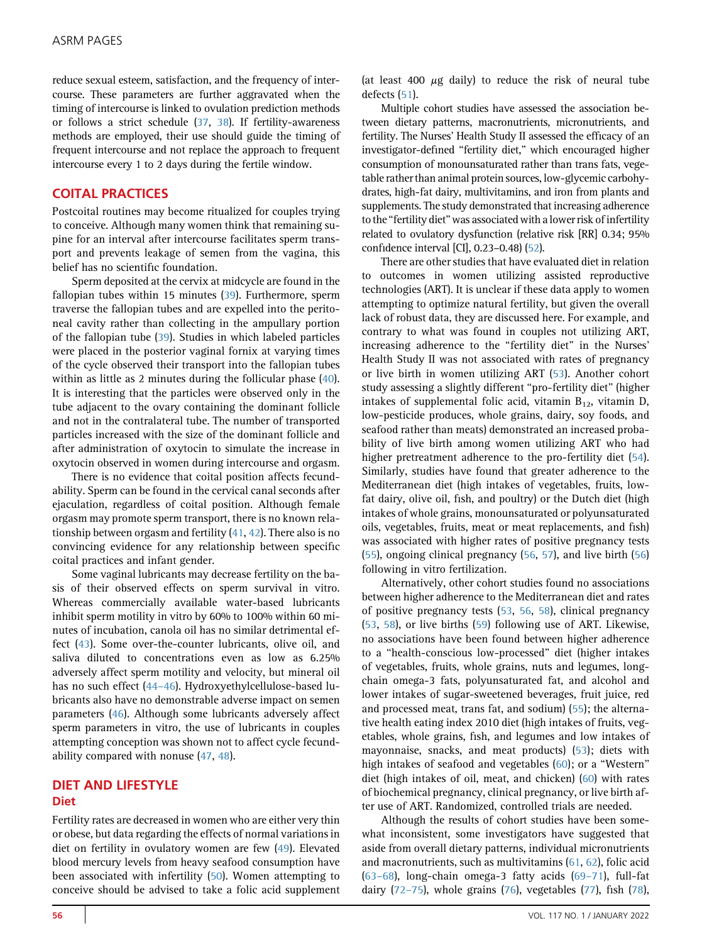reduce sexual esteem, satisfaction, and the frequency of intercourse. These parameters are further aggravated when the timing of intercourse is linked to ovulation prediction methods or follows a strict schedule ([37](#page-7-1), [38\)](#page-7-2). If fertility-awareness methods are employed, their use should guide the timing of frequent intercourse and not replace the approach to frequent intercourse every 1 to 2 days during the fertile window.

## COITAL PRACTICES

Postcoital routines may become ritualized for couples trying to conceive. Although many women think that remaining supine for an interval after intercourse facilitates sperm transport and prevents leakage of semen from the vagina, this belief has no scientific foundation.

Sperm deposited at the cervix at midcycle are found in the fallopian tubes within 15 minutes ([39](#page-7-3)). Furthermore, sperm traverse the fallopian tubes and are expelled into the peritoneal cavity rather than collecting in the ampullary portion of the fallopian tube ([39](#page-7-3)). Studies in which labeled particles were placed in the posterior vaginal fornix at varying times of the cycle observed their transport into the fallopian tubes within as little as 2 minutes during the follicular phase ([40](#page-7-4)). It is interesting that the particles were observed only in the tube adjacent to the ovary containing the dominant follicle and not in the contralateral tube. The number of transported particles increased with the size of the dominant follicle and after administration of oxytocin to simulate the increase in oxytocin observed in women during intercourse and orgasm.

There is no evidence that coital position affects fecundability. Sperm can be found in the cervical canal seconds after ejaculation, regardless of coital position. Although female orgasm may promote sperm transport, there is no known relationship between orgasm and fertility [\(41](#page-7-5), [42\)](#page-7-6). There also is no convincing evidence for any relationship between specific coital practices and infant gender.

Some vaginal lubricants may decrease fertility on the basis of their observed effects on sperm survival in vitro. Whereas commercially available water-based lubricants inhibit sperm motility in vitro by 60% to 100% within 60 minutes of incubation, canola oil has no similar detrimental effect [\(43\)](#page-7-7). Some over-the-counter lubricants, olive oil, and saliva diluted to concentrations even as low as 6.25% adversely affect sperm motility and velocity, but mineral oil has no such effect (44-[46\)](#page-7-8). Hydroxyethylcellulose-based lubricants also have no demonstrable adverse impact on semen parameters ([46\)](#page-7-9). Although some lubricants adversely affect sperm parameters in vitro, the use of lubricants in couples attempting conception was shown not to affect cycle fecundability compared with nonuse [\(47](#page-7-10), [48\)](#page-7-11).

## DIET AND LIFESTYLE **Diet**

Fertility rates are decreased in women who are either very thin or obese, but data regarding the effects of normal variations in diet on fertility in ovulatory women are few ([49\)](#page-7-12). Elevated blood mercury levels from heavy seafood consumption have been associated with infertility ([50](#page-7-13)). Women attempting to conceive should be advised to take a folic acid supplement (at least 400  $\mu$ g daily) to reduce the risk of neural tube defects [\(51\)](#page-7-14).

Multiple cohort studies have assessed the association between dietary patterns, macronutrients, micronutrients, and fertility. The Nurses' Health Study II assessed the efficacy of an investigator-defined ''fertility diet,'' which encouraged higher consumption of monounsaturated rather than trans fats, vegetable rather than animal protein sources, low-glycemic carbohydrates, high-fat dairy, multivitamins, and iron from plants and supplements. The study demonstrated that increasing adherence to the ''fertility diet'' was associated with a lower risk of infertility related to ovulatory dysfunction (relative risk [RR] 0.34; 95% confidence interval [CI], 0.23–0.48) [\(52\)](#page-7-15).

There are other studies that have evaluated diet in relation to outcomes in women utilizing assisted reproductive technologies (ART). It is unclear if these data apply to women attempting to optimize natural fertility, but given the overall lack of robust data, they are discussed here. For example, and contrary to what was found in couples not utilizing ART, increasing adherence to the "fertility diet" in the Nurses' Health Study II was not associated with rates of pregnancy or live birth in women utilizing ART ([53](#page-7-16)). Another cohort study assessing a slightly different ''pro-fertility diet'' (higher intakes of supplemental folic acid, vitamin  $B_{12}$ , vitamin D, low-pesticide produces, whole grains, dairy, soy foods, and seafood rather than meats) demonstrated an increased probability of live birth among women utilizing ART who had higher pretreatment adherence to the pro-fertility diet ([54](#page-7-17)). Similarly, studies have found that greater adherence to the Mediterranean diet (high intakes of vegetables, fruits, lowfat dairy, olive oil, fish, and poultry) or the Dutch diet (high intakes of whole grains, monounsaturated or polyunsaturated oils, vegetables, fruits, meat or meat replacements, and fish) was associated with higher rates of positive pregnancy tests ([55](#page-7-18)), ongoing clinical pregnancy ([56,](#page-7-19) [57](#page-7-20)), and live birth ([56\)](#page-7-19) following in vitro fertilization.

Alternatively, other cohort studies found no associations between higher adherence to the Mediterranean diet and rates of positive pregnancy tests ([53](#page-7-16), [56](#page-7-19), [58\)](#page-7-21), clinical pregnancy ([53](#page-7-16), [58\)](#page-7-21), or live births ([59](#page-7-22)) following use of ART. Likewise, no associations have been found between higher adherence to a ''health-conscious low-processed'' diet (higher intakes of vegetables, fruits, whole grains, nuts and legumes, longchain omega-3 fats, polyunsaturated fat, and alcohol and lower intakes of sugar-sweetened beverages, fruit juice, red and processed meat, trans fat, and sodium) ([55](#page-7-18)); the alternative health eating index 2010 diet (high intakes of fruits, vegetables, whole grains, fish, and legumes and low intakes of mayonnaise, snacks, and meat products) [\(53](#page-7-16)); diets with high intakes of seafood and vegetables [\(60\)](#page-7-23); or a "Western" diet (high intakes of oil, meat, and chicken) [\(60\)](#page-7-23) with rates of biochemical pregnancy, clinical pregnancy, or live birth after use of ART. Randomized, controlled trials are needed.

Although the results of cohort studies have been somewhat inconsistent, some investigators have suggested that aside from overall dietary patterns, individual micronutrients and macronutrients, such as multivitamins ([61,](#page-7-24) [62\)](#page-7-25), folic acid (63–[68\)](#page-7-26), long-chain omega-3 fatty acids [\(69](#page-7-27)–71), full-fat dairy (72–[75\)](#page-7-28), whole grains ([76\)](#page-7-29), vegetables [\(77](#page-7-30)), fish ([78](#page-7-31)),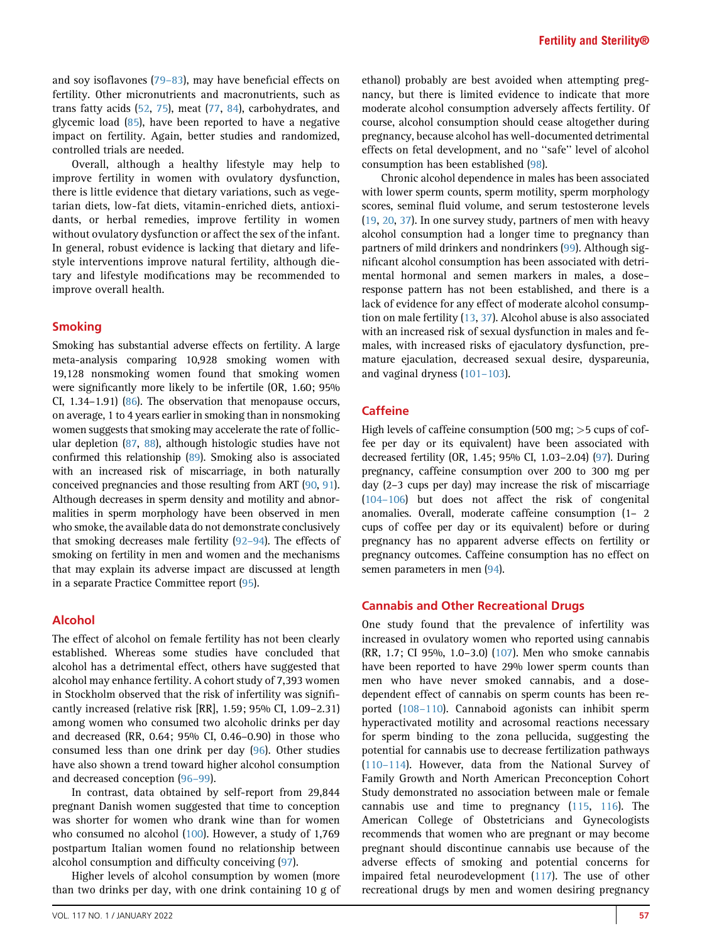and soy isoflavones (79–[83\)](#page-7-32), may have beneficial effects on fertility. Other micronutrients and macronutrients, such as trans fatty acids [\(52,](#page-7-15) [75\)](#page-7-33), meat [\(77,](#page-7-30) [84\)](#page-8-0), carbohydrates, and glycemic load ([85](#page-8-1)), have been reported to have a negative impact on fertility. Again, better studies and randomized, controlled trials are needed.

Overall, although a healthy lifestyle may help to improve fertility in women with ovulatory dysfunction, there is little evidence that dietary variations, such as vegetarian diets, low-fat diets, vitamin-enriched diets, antioxidants, or herbal remedies, improve fertility in women without ovulatory dysfunction or affect the sex of the infant. In general, robust evidence is lacking that dietary and lifestyle interventions improve natural fertility, although dietary and lifestyle modifications may be recommended to improve overall health.

#### Smoking

Smoking has substantial adverse effects on fertility. A large meta-analysis comparing 10,928 smoking women with 19,128 nonsmoking women found that smoking women were significantly more likely to be infertile (OR, 1.60; 95% CI, 1.34–1.91) [\(86](#page-8-2)). The observation that menopause occurs, on average, 1 to 4 years earlier in smoking than in nonsmoking women suggests that smoking may accelerate the rate of follicular depletion [\(87](#page-8-3), [88\)](#page-8-4), although histologic studies have not confirmed this relationship [\(89](#page-8-5)). Smoking also is associated with an increased risk of miscarriage, in both naturally conceived pregnancies and those resulting from ART [\(90,](#page-8-6) [91](#page-8-7)). Although decreases in sperm density and motility and abnormalities in sperm morphology have been observed in men who smoke, the available data do not demonstrate conclusively that smoking decreases male fertility [\(92](#page-8-8)–94). The effects of smoking on fertility in men and women and the mechanisms that may explain its adverse impact are discussed at length in a separate Practice Committee report ([95](#page-8-9)).

#### Alcohol

The effect of alcohol on female fertility has not been clearly established. Whereas some studies have concluded that alcohol has a detrimental effect, others have suggested that alcohol may enhance fertility. A cohort study of 7,393 women in Stockholm observed that the risk of infertility was significantly increased (relative risk [RR], 1.59; 95% CI, 1.09–2.31) among women who consumed two alcoholic drinks per day and decreased (RR, 0.64; 95% CI, 0.46–0.90) in those who consumed less than one drink per day ([96\)](#page-8-10). Other studies have also shown a trend toward higher alcohol consumption and decreased conception (96–[99\)](#page-8-10).

In contrast, data obtained by self-report from 29,844 pregnant Danish women suggested that time to conception was shorter for women who drank wine than for women who consumed no alcohol [\(100\)](#page-8-11). However, a study of 1,769 postpartum Italian women found no relationship between alcohol consumption and difficulty conceiving ([97](#page-8-12)).

Higher levels of alcohol consumption by women (more than two drinks per day, with one drink containing 10 g of ethanol) probably are best avoided when attempting pregnancy, but there is limited evidence to indicate that more moderate alcohol consumption adversely affects fertility. Of course, alcohol consumption should cease altogether during pregnancy, because alcohol has well-documented detrimental effects on fetal development, and no ''safe'' level of alcohol consumption has been established [\(98\)](#page-8-13).

Chronic alcohol dependence in males has been associated with lower sperm counts, sperm motility, sperm morphology scores, seminal fluid volume, and serum testosterone levels ([19](#page-6-18), [20](#page-6-19), [37\)](#page-7-1). In one survey study, partners of men with heavy alcohol consumption had a longer time to pregnancy than partners of mild drinkers and nondrinkers ([99](#page-8-14)). Although significant alcohol consumption has been associated with detrimental hormonal and semen markers in males, a dose– response pattern has not been established, and there is a lack of evidence for any effect of moderate alcohol consumption on male fertility ([13](#page-6-12), [37](#page-7-1)). Alcohol abuse is also associated with an increased risk of sexual dysfunction in males and females, with increased risks of ejaculatory dysfunction, premature ejaculation, decreased sexual desire, dyspareunia, and vaginal dryness ([101](#page-8-15)–103).

## **Caffeine**

High levels of caffeine consumption (500 mg; >5 cups of coffee per day or its equivalent) have been associated with decreased fertility (OR, 1.45; 95% CI, 1.03–2.04) [\(97\)](#page-8-12). During pregnancy, caffeine consumption over 200 to 300 mg per day (2–3 cups per day) may increase the risk of miscarriage [\(104](#page-8-16)–106) but does not affect the risk of congenital anomalies. Overall, moderate caffeine consumption (1– 2 cups of coffee per day or its equivalent) before or during pregnancy has no apparent adverse effects on fertility or pregnancy outcomes. Caffeine consumption has no effect on semen parameters in men [\(94\)](#page-8-17).

#### Cannabis and Other Recreational Drugs

One study found that the prevalence of infertility was increased in ovulatory women who reported using cannabis (RR, 1.7; CI 95%, 1.0–3.0) [\(107\)](#page-8-18). Men who smoke cannabis have been reported to have 29% lower sperm counts than men who have never smoked cannabis, and a dosedependent effect of cannabis on sperm counts has been reported (108–[110\)](#page-8-19). Cannaboid agonists can inhibit sperm hyperactivated motility and acrosomal reactions necessary for sperm binding to the zona pellucida, suggesting the potential for cannabis use to decrease fertilization pathways (110–[114](#page-8-20)). However, data from the National Survey of Family Growth and North American Preconception Cohort Study demonstrated no association between male or female cannabis use and time to pregnancy [\(115,](#page-8-21) [116](#page-8-22)). The American College of Obstetricians and Gynecologists recommends that women who are pregnant or may become pregnant should discontinue cannabis use because of the adverse effects of smoking and potential concerns for impaired fetal neurodevelopment ([117](#page-8-23)). The use of other recreational drugs by men and women desiring pregnancy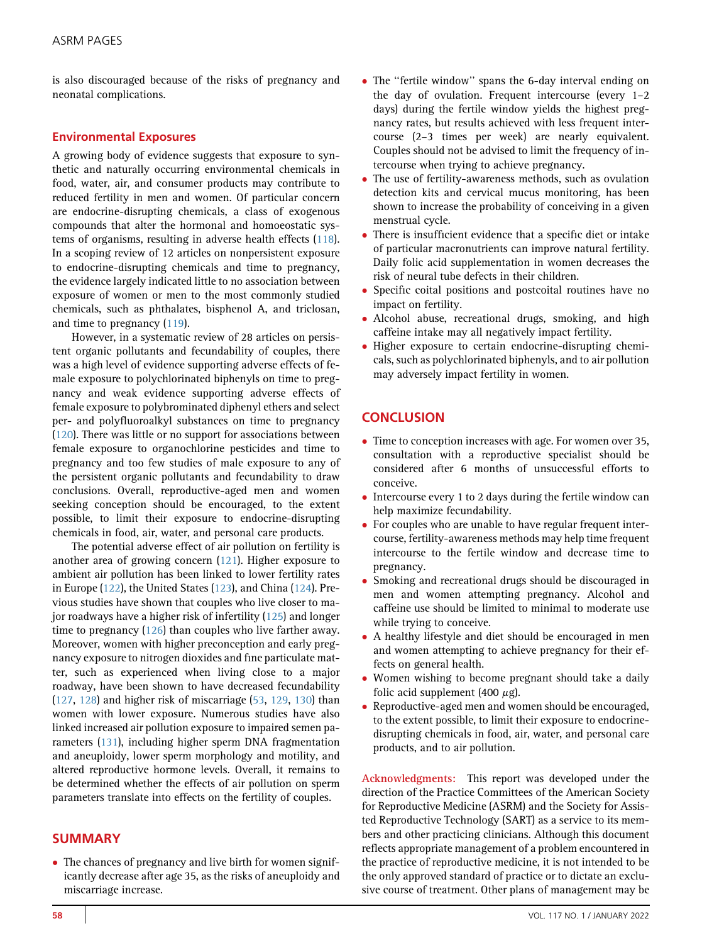is also discouraged because of the risks of pregnancy and neonatal complications.

### Environmental Exposures

A growing body of evidence suggests that exposure to synthetic and naturally occurring environmental chemicals in food, water, air, and consumer products may contribute to reduced fertility in men and women. Of particular concern are endocrine-disrupting chemicals, a class of exogenous compounds that alter the hormonal and homoeostatic systems of organisms, resulting in adverse health effects ([118](#page-8-24)). In a scoping review of 12 articles on nonpersistent exposure to endocrine-disrupting chemicals and time to pregnancy, the evidence largely indicated little to no association between exposure of women or men to the most commonly studied chemicals, such as phthalates, bisphenol A, and triclosan, and time to pregnancy ([119](#page-8-25)).

However, in a systematic review of 28 articles on persistent organic pollutants and fecundability of couples, there was a high level of evidence supporting adverse effects of female exposure to polychlorinated biphenyls on time to pregnancy and weak evidence supporting adverse effects of female exposure to polybrominated diphenyl ethers and select per- and polyfluoroalkyl substances on time to pregnancy [\(120\)](#page-8-26). There was little or no support for associations between female exposure to organochlorine pesticides and time to pregnancy and too few studies of male exposure to any of the persistent organic pollutants and fecundability to draw conclusions. Overall, reproductive-aged men and women seeking conception should be encouraged, to the extent possible, to limit their exposure to endocrine-disrupting chemicals in food, air, water, and personal care products.

The potential adverse effect of air pollution on fertility is another area of growing concern [\(121\)](#page-8-27). Higher exposure to ambient air pollution has been linked to lower fertility rates in Europe [\(122\)](#page-8-28), the United States ([123](#page-8-29)), and China [\(124\)](#page-8-30). Previous studies have shown that couples who live closer to major roadways have a higher risk of infertility [\(125\)](#page-8-31) and longer time to pregnancy [\(126\)](#page-9-0) than couples who live farther away. Moreover, women with higher preconception and early pregnancy exposure to nitrogen dioxides and fine particulate matter, such as experienced when living close to a major roadway, have been shown to have decreased fecundability [\(127,](#page-9-1) [128](#page-9-2)) and higher risk of miscarriage [\(53](#page-7-16), [129,](#page-9-3) [130](#page-9-4)) than women with lower exposure. Numerous studies have also linked increased air pollution exposure to impaired semen parameters [\(131\)](#page-9-5), including higher sperm DNA fragmentation and aneuploidy, lower sperm morphology and motility, and altered reproductive hormone levels. Overall, it remains to be determined whether the effects of air pollution on sperm parameters translate into effects on the fertility of couples.

## SUMMARY

 The chances of pregnancy and live birth for women significantly decrease after age 35, as the risks of aneuploidy and miscarriage increase.

- The ''fertile window'' spans the 6-day interval ending on the day of ovulation. Frequent intercourse (every 1–2 days) during the fertile window yields the highest pregnancy rates, but results achieved with less frequent intercourse (2–3 times per week) are nearly equivalent. Couples should not be advised to limit the frequency of intercourse when trying to achieve pregnancy.
- The use of fertility-awareness methods, such as ovulation detection kits and cervical mucus monitoring, has been shown to increase the probability of conceiving in a given menstrual cycle.
- There is insufficient evidence that a specific diet or intake of particular macronutrients can improve natural fertility. Daily folic acid supplementation in women decreases the risk of neural tube defects in their children.
- Specific coital positions and postcoital routines have no impact on fertility.
- Alcohol abuse, recreational drugs, smoking, and high caffeine intake may all negatively impact fertility.
- Higher exposure to certain endocrine-disrupting chemicals, such as polychlorinated biphenyls, and to air pollution may adversely impact fertility in women.

# **CONCLUSION**

- Time to conception increases with age. For women over 35, consultation with a reproductive specialist should be considered after 6 months of unsuccessful efforts to conceive.
- Intercourse every 1 to 2 days during the fertile window can help maximize fecundability.
- For couples who are unable to have regular frequent intercourse, fertility-awareness methods may help time frequent intercourse to the fertile window and decrease time to pregnancy.
- Smoking and recreational drugs should be discouraged in men and women attempting pregnancy. Alcohol and caffeine use should be limited to minimal to moderate use while trying to conceive.
- A healthy lifestyle and diet should be encouraged in men and women attempting to achieve pregnancy for their effects on general health.
- Women wishing to become pregnant should take a daily folic acid supplement (400  $\mu$ g).
- Reproductive-aged men and women should be encouraged, to the extent possible, to limit their exposure to endocrinedisrupting chemicals in food, air, water, and personal care products, and to air pollution.

Acknowledgments: This report was developed under the direction of the Practice Committees of the American Society for Reproductive Medicine (ASRM) and the Society for Assisted Reproductive Technology (SART) as a service to its members and other practicing clinicians. Although this document reflects appropriate management of a problem encountered in the practice of reproductive medicine, it is not intended to be the only approved standard of practice or to dictate an exclusive course of treatment. Other plans of management may be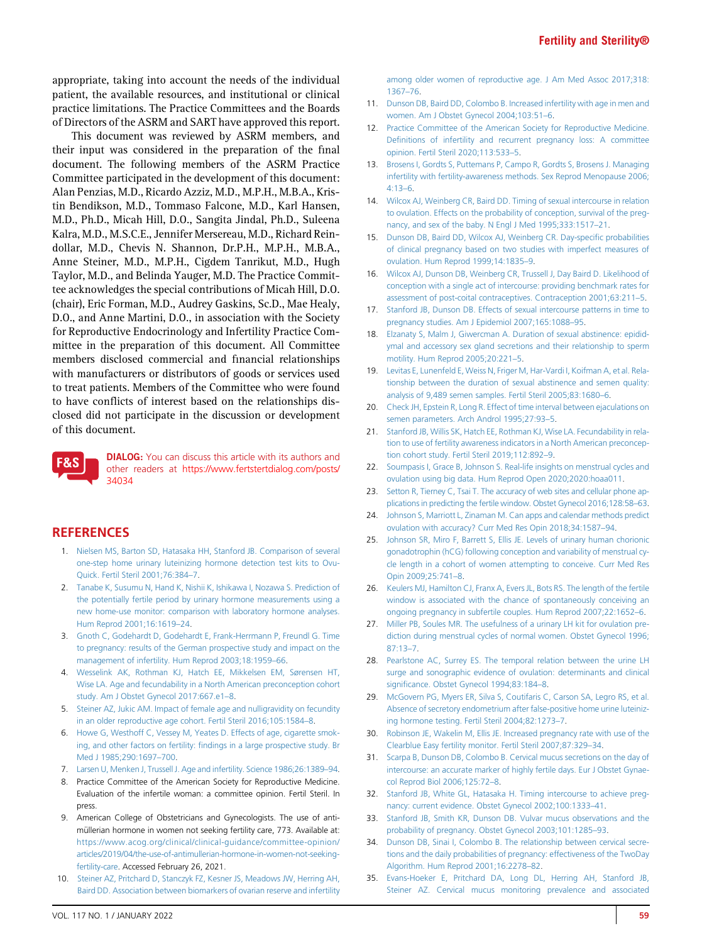appropriate, taking into account the needs of the individual patient, the available resources, and institutional or clinical practice limitations. The Practice Committees and the Boards of Directors of the ASRM and SART have approved this report.

This document was reviewed by ASRM members, and their input was considered in the preparation of the final document. The following members of the ASRM Practice Committee participated in the development of this document: Alan Penzias, M.D., Ricardo Azziz, M.D., M.P.H., M.B.A., Kristin Bendikson, M.D., Tommaso Falcone, M.D., Karl Hansen, M.D., Ph.D., Micah Hill, D.O., Sangita Jindal, Ph.D., Suleena Kalra, M.D., M.S.C.E., Jennifer Mersereau, M.D., Richard Reindollar, M.D., Chevis N. Shannon, Dr.P.H., M.P.H., M.B.A., Anne Steiner, M.D., M.P.H., Cigdem Tanrikut, M.D., Hugh Taylor, M.D., and Belinda Yauger, M.D. The Practice Committee acknowledges the special contributions of Micah Hill, D.O. (chair), Eric Forman, M.D., Audrey Gaskins, Sc.D., Mae Healy, D.O., and Anne Martini, D.O., in association with the Society for Reproductive Endocrinology and Infertility Practice Committee in the preparation of this document. All Committee members disclosed commercial and financial relationships with manufacturers or distributors of goods or services used to treat patients. Members of the Committee who were found to have conflicts of interest based on the relationships disclosed did not participate in the discussion or development of this document.



DIALOG: You can discuss this article with its authors and other readers at [https://www.fertstertdialog.com/posts/](https://www.fertstertdialog.com/posts/34034) [34034](https://www.fertstertdialog.com/posts/34034)

## <span id="page-6-0"></span>**REFERENCES**

- 1. [Nielsen MS, Barton SD, Hatasaka HH, Stanford JB. Comparison of several](http://refhub.elsevier.com/S0015-0282(21)02130-0/sref1) [one-step home urinary luteinizing hormone detection test kits to Ovu-](http://refhub.elsevier.com/S0015-0282(21)02130-0/sref1)[Quick. Fertil Steril 2001;76:384](http://refhub.elsevier.com/S0015-0282(21)02130-0/sref1)–7.
- <span id="page-6-1"></span>2. [Tanabe K, Susumu N, Hand K, Nishii K, Ishikawa I, Nozawa S. Prediction of](http://refhub.elsevier.com/S0015-0282(21)02130-0/sref2) [the potentially fertile period by urinary hormone measurements using a](http://refhub.elsevier.com/S0015-0282(21)02130-0/sref2) [new home-use monitor: comparison with laboratory hormone analyses.](http://refhub.elsevier.com/S0015-0282(21)02130-0/sref2) [Hum Reprod 2001;16:1619](http://refhub.elsevier.com/S0015-0282(21)02130-0/sref2)–24.
- <span id="page-6-2"></span>3. [Gnoth C, Godehardt D, Godehardt E, Frank-Herrmann P, Freundl G. Time](http://refhub.elsevier.com/S0015-0282(21)02130-0/sref3) [to pregnancy: results of the German prospective study and impact on the](http://refhub.elsevier.com/S0015-0282(21)02130-0/sref3) [management of infertility. Hum Reprod 2003;18:1959](http://refhub.elsevier.com/S0015-0282(21)02130-0/sref3)–66.
- <span id="page-6-3"></span>4. [Wesselink AK, Rothman KJ, Hatch EE, Mikkelsen EM, Sørensen HT,](http://refhub.elsevier.com/S0015-0282(21)02130-0/sref4) [Wise LA. Age and fecundability in a North American preconception cohort](http://refhub.elsevier.com/S0015-0282(21)02130-0/sref4) [study. Am J Obstet Gynecol 2017:667.e1](http://refhub.elsevier.com/S0015-0282(21)02130-0/sref4)–8.
- <span id="page-6-5"></span><span id="page-6-4"></span>5. [Steiner AZ, Jukic AM. Impact of female age and nulligravidity on fecundity](http://refhub.elsevier.com/S0015-0282(21)02130-0/sref5) [in an older reproductive age cohort. Fertil Steril 2016;105:1584](http://refhub.elsevier.com/S0015-0282(21)02130-0/sref5)–8.
- 6. [Howe G, Westhoff C, Vessey M, Yeates D. Effects of age, cigarette smok](http://refhub.elsevier.com/S0015-0282(21)02130-0/sref6)ing, and other factors on fertility: fi[ndings in a large prospective study. Br](http://refhub.elsevier.com/S0015-0282(21)02130-0/sref6) [Med J 1985;290:1697](http://refhub.elsevier.com/S0015-0282(21)02130-0/sref6)–700.
- <span id="page-6-7"></span><span id="page-6-6"></span>7. [Larsen U, Menken J, Trussell J. Age and infertility. Science 1986;26:1389](http://refhub.elsevier.com/S0015-0282(21)02130-0/sref7)–94.
- 8. Practice Committee of the American Society for Reproductive Medicine. Evaluation of the infertile woman: a committee opinion. Fertil Steril. In press.
- <span id="page-6-8"></span>9. American College of Obstetricians and Gynecologists. The use of antimüllerian hormone in women not seeking fertility care, 773. Available at: [https://www.acog.org/clinical/clinical-guidance/committee-opinion/](https://www.acog.org/clinical/clinical-guidance/committee-opinion/articles/2019/04/the-use-of-antimullerian-hormone-in-women-not-seeking-fertility-care) [articles/2019/04/the-use-of-antimullerian-hormone-in-women-not-seeking](https://www.acog.org/clinical/clinical-guidance/committee-opinion/articles/2019/04/the-use-of-antimullerian-hormone-in-women-not-seeking-fertility-care)[fertility-care.](https://www.acog.org/clinical/clinical-guidance/committee-opinion/articles/2019/04/the-use-of-antimullerian-hormone-in-women-not-seeking-fertility-care) Accessed February 26, 2021.
- <span id="page-6-9"></span>10. [Steiner AZ, Pritchard D, Stanczyk FZ, Kesner JS, Meadows JW, Herring AH,](http://refhub.elsevier.com/S0015-0282(21)02130-0/sref10) [Baird DD. Association between biomarkers of ovarian reserve and infertility](http://refhub.elsevier.com/S0015-0282(21)02130-0/sref10)

[among older women of reproductive age. J Am Med Assoc 2017;318:](http://refhub.elsevier.com/S0015-0282(21)02130-0/sref10) [1367](http://refhub.elsevier.com/S0015-0282(21)02130-0/sref10)–76.

- <span id="page-6-10"></span>11. [Dunson DB, Baird DD, Colombo B. Increased infertility with age in men and](http://refhub.elsevier.com/S0015-0282(21)02130-0/sref11) [women. Am J Obstet Gynecol 2004;103:51](http://refhub.elsevier.com/S0015-0282(21)02130-0/sref11)–6.
- <span id="page-6-11"></span>12. [Practice Committee of the American Society for Reproductive Medicine.](http://refhub.elsevier.com/S0015-0282(21)02130-0/sref12) Defi[nitions of infertility and recurrent pregnancy loss: A committee](http://refhub.elsevier.com/S0015-0282(21)02130-0/sref12) [opinion. Fertil Steril 2020;113:533](http://refhub.elsevier.com/S0015-0282(21)02130-0/sref12)–5.
- <span id="page-6-12"></span>13. [Brosens I, Gordts S, Puttemans P, Campo R, Gordts S, Brosens J. Managing](http://refhub.elsevier.com/S0015-0282(21)02130-0/sref13) [infertility with fertility-awareness methods. Sex Reprod Menopause 2006;](http://refhub.elsevier.com/S0015-0282(21)02130-0/sref13)  $4:13-6.$  $4:13-6.$
- <span id="page-6-13"></span>14. [Wilcox AJ, Weinberg CR, Baird DD. Timing of sexual intercourse in relation](http://refhub.elsevier.com/S0015-0282(21)02130-0/sref14) [to ovulation. Effects on the probability of conception, survival of the preg](http://refhub.elsevier.com/S0015-0282(21)02130-0/sref14)[nancy, and sex of the baby. N Engl J Med 1995;333:1517](http://refhub.elsevier.com/S0015-0282(21)02130-0/sref14)–21.
- <span id="page-6-14"></span>15. [Dunson DB, Baird DD, Wilcox AJ, Weinberg CR. Day-speci](http://refhub.elsevier.com/S0015-0282(21)02130-0/sref15)fic probabilities [of clinical pregnancy based on two studies with imperfect measures of](http://refhub.elsevier.com/S0015-0282(21)02130-0/sref15) [ovulation. Hum Reprod 1999;14:1835](http://refhub.elsevier.com/S0015-0282(21)02130-0/sref15)–9.
- <span id="page-6-15"></span>16. [Wilcox AJ, Dunson DB, Weinberg CR, Trussell J, Day Baird D. Likelihood of](http://refhub.elsevier.com/S0015-0282(21)02130-0/sref16) [conception with a single act of intercourse: providing benchmark rates for](http://refhub.elsevier.com/S0015-0282(21)02130-0/sref16) [assessment of post-coital contraceptives. Contraception 2001;63:211](http://refhub.elsevier.com/S0015-0282(21)02130-0/sref16)–5.
- <span id="page-6-16"></span>17. [Stanford JB, Dunson DB. Effects of sexual intercourse patterns in time to](http://refhub.elsevier.com/S0015-0282(21)02130-0/sref17) [pregnancy studies. Am J Epidemiol 2007;165:1088](http://refhub.elsevier.com/S0015-0282(21)02130-0/sref17)–95.
- <span id="page-6-17"></span>18. [Elzanaty S, Malm J, Giwercman A. Duration of sexual abstinence: epidid](http://refhub.elsevier.com/S0015-0282(21)02130-0/sref18)[ymal and accessory sex gland secretions and their relationship to sperm](http://refhub.elsevier.com/S0015-0282(21)02130-0/sref18) [motility. Hum Reprod 2005;20:221](http://refhub.elsevier.com/S0015-0282(21)02130-0/sref18)–5.
- <span id="page-6-18"></span>[Levitas E, Lunenfeld E, Weiss N, Friger M, Har-Vardi I, Koifman A, et al. Rela](http://refhub.elsevier.com/S0015-0282(21)02130-0/sref19)[tionship between the duration of sexual abstinence and semen quality:](http://refhub.elsevier.com/S0015-0282(21)02130-0/sref19) [analysis of 9,489 semen samples. Fertil Steril 2005;83:1680](http://refhub.elsevier.com/S0015-0282(21)02130-0/sref19)–6.
- <span id="page-6-19"></span>20. [Check JH, Epstein R, Long R. Effect of time interval between ejaculations on](http://refhub.elsevier.com/S0015-0282(21)02130-0/sref20) [semen parameters. Arch Androl 1995;27:93](http://refhub.elsevier.com/S0015-0282(21)02130-0/sref20)–5.
- <span id="page-6-20"></span>21. [Stanford JB, Willis SK, Hatch EE, Rothman KJ, Wise LA. Fecundability in rela](http://refhub.elsevier.com/S0015-0282(21)02130-0/sref21)[tion to use of fertility awareness indicators in a North American preconcep](http://refhub.elsevier.com/S0015-0282(21)02130-0/sref21)[tion cohort study. Fertil Steril 2019;112:892](http://refhub.elsevier.com/S0015-0282(21)02130-0/sref21)–9.
- <span id="page-6-21"></span>22. [Soumpasis I, Grace B, Johnson S. Real-life insights on menstrual cycles and](http://refhub.elsevier.com/S0015-0282(21)02130-0/sref22) [ovulation using big data. Hum Reprod Open 2020;2020:hoaa011](http://refhub.elsevier.com/S0015-0282(21)02130-0/sref22).
- <span id="page-6-22"></span>23. [Setton R, Tierney C, Tsai T. The accuracy of web sites and cellular phone ap](http://refhub.elsevier.com/S0015-0282(21)02130-0/sref23)[plications in predicting the fertile window. Obstet Gynecol 2016;128:58](http://refhub.elsevier.com/S0015-0282(21)02130-0/sref23)–63.
- <span id="page-6-23"></span>24. [Johnson S, Marriott L, Zinaman M. Can apps and calendar methods predict](http://refhub.elsevier.com/S0015-0282(21)02130-0/sref24) [ovulation with accuracy? Curr Med Res Opin 2018;34:1587](http://refhub.elsevier.com/S0015-0282(21)02130-0/sref24)–94.
- <span id="page-6-24"></span>25. [Johnson SR, Miro F, Barrett S, Ellis JE. Levels of urinary human chorionic](http://refhub.elsevier.com/S0015-0282(21)02130-0/sref25) [gonadotrophin \(hCG\) following conception and variability of menstrual cy](http://refhub.elsevier.com/S0015-0282(21)02130-0/sref25)[cle length in a cohort of women attempting to conceive. Curr Med Res](http://refhub.elsevier.com/S0015-0282(21)02130-0/sref25) [Opin 2009;25:741](http://refhub.elsevier.com/S0015-0282(21)02130-0/sref25)–8.
- <span id="page-6-25"></span>26. [Keulers MJ, Hamilton CJ, Franx A, Evers JL, Bots RS. The length of the fertile](http://refhub.elsevier.com/S0015-0282(21)02130-0/sref26) [window is associated with the chance of spontaneously conceiving an](http://refhub.elsevier.com/S0015-0282(21)02130-0/sref26) [ongoing pregnancy in subfertile couples. Hum Reprod 2007;22:1652](http://refhub.elsevier.com/S0015-0282(21)02130-0/sref26)–6.
- <span id="page-6-26"></span>27. [Miller PB, Soules MR. The usefulness of a urinary LH kit for ovulation pre](http://refhub.elsevier.com/S0015-0282(21)02130-0/sref27)[diction during menstrual cycles of normal women. Obstet Gynecol 1996;](http://refhub.elsevier.com/S0015-0282(21)02130-0/sref27) [87:13](http://refhub.elsevier.com/S0015-0282(21)02130-0/sref27)–7.
- <span id="page-6-27"></span>28. [Pearlstone AC, Surrey ES. The temporal relation between the urine LH](http://refhub.elsevier.com/S0015-0282(21)02130-0/sref28) [surge and sonographic evidence of ovulation: determinants and clinical](http://refhub.elsevier.com/S0015-0282(21)02130-0/sref28) signifi[cance. Obstet Gynecol 1994;83:184](http://refhub.elsevier.com/S0015-0282(21)02130-0/sref28)–8.
- <span id="page-6-28"></span>29. [McGovern PG, Myers ER, Silva S, Coutifaris C, Carson SA, Legro RS, et al.](http://refhub.elsevier.com/S0015-0282(21)02130-0/sref29) [Absence of secretory endometrium after false-positive home urine luteiniz](http://refhub.elsevier.com/S0015-0282(21)02130-0/sref29)[ing hormone testing. Fertil Steril 2004;82:1273](http://refhub.elsevier.com/S0015-0282(21)02130-0/sref29)–7.
- <span id="page-6-29"></span>30. [Robinson JE, Wakelin M, Ellis JE. Increased pregnancy rate with use of the](http://refhub.elsevier.com/S0015-0282(21)02130-0/sref30) [Clearblue Easy fertility monitor. Fertil Steril 2007;87:329](http://refhub.elsevier.com/S0015-0282(21)02130-0/sref30)–34.
- <span id="page-6-30"></span>31. [Scarpa B, Dunson DB, Colombo B. Cervical mucus secretions on the day of](http://refhub.elsevier.com/S0015-0282(21)02130-0/sref31) [intercourse: an accurate marker of highly fertile days. Eur J Obstet Gynae](http://refhub.elsevier.com/S0015-0282(21)02130-0/sref31)[col Reprod Biol 2006;125:72](http://refhub.elsevier.com/S0015-0282(21)02130-0/sref31)–8.
- <span id="page-6-31"></span>32. [Stanford JB, White GL, Hatasaka H. Timing intercourse to achieve preg](http://refhub.elsevier.com/S0015-0282(21)02130-0/sref32)[nancy: current evidence. Obstet Gynecol 2002;100:1333](http://refhub.elsevier.com/S0015-0282(21)02130-0/sref32)–41.
- <span id="page-6-32"></span>33. [Stanford JB, Smith KR, Dunson DB. Vulvar mucus observations and the](http://refhub.elsevier.com/S0015-0282(21)02130-0/sref33) [probability of pregnancy. Obstet Gynecol 2003;101:1285](http://refhub.elsevier.com/S0015-0282(21)02130-0/sref33)–93.
- <span id="page-6-33"></span>34. [Dunson DB, Sinai I, Colombo B. The relationship between cervical secre](http://refhub.elsevier.com/S0015-0282(21)02130-0/sref34)[tions and the daily probabilities of pregnancy: effectiveness of the TwoDay](http://refhub.elsevier.com/S0015-0282(21)02130-0/sref34) [Algorithm. Hum Reprod 2001;16:2278](http://refhub.elsevier.com/S0015-0282(21)02130-0/sref34)–82.
- <span id="page-6-34"></span>35. [Evans-Hoeker E, Pritchard DA, Long DL, Herring AH, Stanford JB,](http://refhub.elsevier.com/S0015-0282(21)02130-0/sref35) [Steiner AZ. Cervical mucus monitoring prevalence and associated](http://refhub.elsevier.com/S0015-0282(21)02130-0/sref35)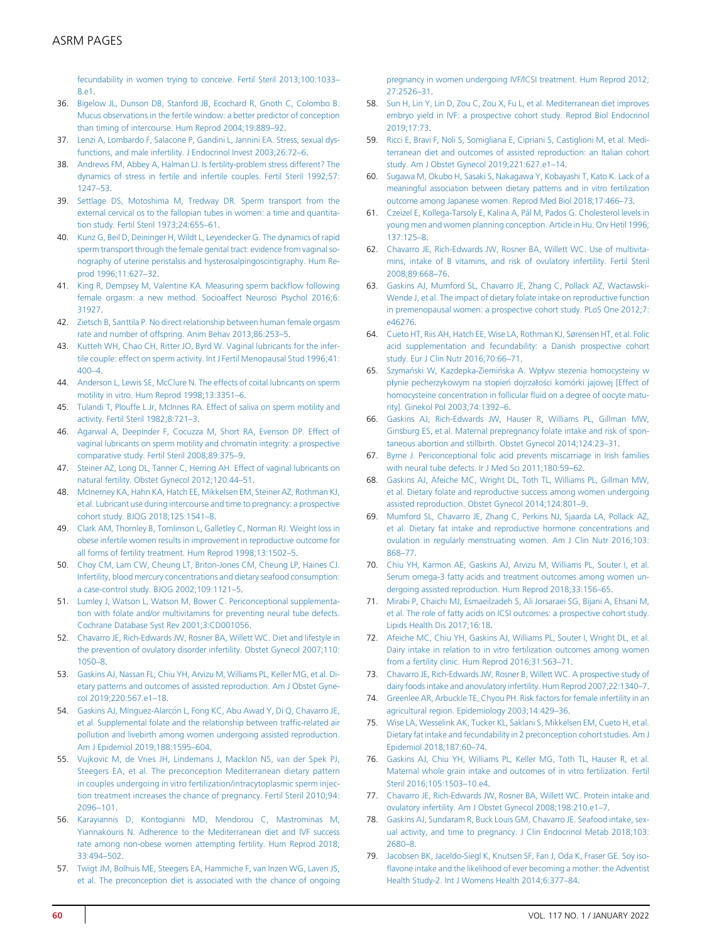[fecundability in women trying to conceive. Fertil Steril 2013;100:1033](http://refhub.elsevier.com/S0015-0282(21)02130-0/sref35)– [8.e1.](http://refhub.elsevier.com/S0015-0282(21)02130-0/sref35)

- <span id="page-7-0"></span>36. [Bigelow JL, Dunson DB, Stanford JB, Ecochard R, Gnoth C, Colombo B.](http://refhub.elsevier.com/S0015-0282(21)02130-0/sref36) [Mucus observations in the fertile window: a better predictor of conception](http://refhub.elsevier.com/S0015-0282(21)02130-0/sref36) [than timing of intercourse. Hum Reprod 2004;19:889](http://refhub.elsevier.com/S0015-0282(21)02130-0/sref36)–92.
- <span id="page-7-1"></span>37. [Lenzi A, Lombardo F, Salacone P, Gandini L, Jannini EA. Stress, sexual dys](http://refhub.elsevier.com/S0015-0282(21)02130-0/sref37)[functions, and male infertility. J Endocrinol Invest 2003;26:72](http://refhub.elsevier.com/S0015-0282(21)02130-0/sref37)–6.
- <span id="page-7-2"></span>38. [Andrews FM, Abbey A, Halman LJ. Is fertility-problem stress different? The](http://refhub.elsevier.com/S0015-0282(21)02130-0/sref38) [dynamics of stress in fertile and infertile couples. Fertil Steril 1992;57:](http://refhub.elsevier.com/S0015-0282(21)02130-0/sref38) [1247](http://refhub.elsevier.com/S0015-0282(21)02130-0/sref38)–53.
- <span id="page-7-3"></span>39. [Settlage DS, Motoshima M, Tredway DR. Sperm transport from the](http://refhub.elsevier.com/S0015-0282(21)02130-0/sref39) [external cervical os to the fallopian tubes in women: a time and quantita](http://refhub.elsevier.com/S0015-0282(21)02130-0/sref39)[tion study. Fertil Steril 1973;24:655](http://refhub.elsevier.com/S0015-0282(21)02130-0/sref39)–61.
- <span id="page-7-4"></span>40. [Kunz G, Beil D, Deininger H, Wildt L, Leyendecker G. The dynamics of rapid](http://refhub.elsevier.com/S0015-0282(21)02130-0/sref40) [sperm transport through the female genital tract: evidence from vaginal so](http://refhub.elsevier.com/S0015-0282(21)02130-0/sref40)[nography of uterine peristalsis and hysterosalpingoscintigraphy. Hum Re](http://refhub.elsevier.com/S0015-0282(21)02130-0/sref40)[prod 1996;11:627](http://refhub.elsevier.com/S0015-0282(21)02130-0/sref40)–32.
- <span id="page-7-5"></span>41. [King R, Dempsey M, Valentine KA. Measuring sperm back](http://refhub.elsevier.com/S0015-0282(21)02130-0/sref41)flow following [female orgasm: a new method. Socioaffect Neurosci Psychol 2016;6:](http://refhub.elsevier.com/S0015-0282(21)02130-0/sref41) [31927.](http://refhub.elsevier.com/S0015-0282(21)02130-0/sref41)
- <span id="page-7-6"></span>42. [Zietsch B, Santtila P. No direct relationship between human female orgasm](http://refhub.elsevier.com/S0015-0282(21)02130-0/sref42) [rate and number of offspring. Anim Behav 2013;86:253](http://refhub.elsevier.com/S0015-0282(21)02130-0/sref42)–5.
- <span id="page-7-7"></span>43. [Kutteh WH, Chao CH, Ritter JO, Byrd W. Vaginal lubricants for the infer](http://refhub.elsevier.com/S0015-0282(21)02130-0/sref43)[tile couple: effect on sperm activity. Int J Fertil Menopausal Stud 1996;41:](http://refhub.elsevier.com/S0015-0282(21)02130-0/sref43) [400](http://refhub.elsevier.com/S0015-0282(21)02130-0/sref43)–4.
- <span id="page-7-8"></span>44. [Anderson L, Lewis SE, McClure N. The effects of coital lubricants on sperm](http://refhub.elsevier.com/S0015-0282(21)02130-0/sref44) [motility in vitro. Hum Reprod 1998;13:3351](http://refhub.elsevier.com/S0015-0282(21)02130-0/sref44)–6.
- 45. [Tulandi T, Plouffe L Jr, McInnes RA. Effect of saliva on sperm motility and](http://refhub.elsevier.com/S0015-0282(21)02130-0/sref45) [activity. Fertil Steril 1982;8:721](http://refhub.elsevier.com/S0015-0282(21)02130-0/sref45)–3.
- <span id="page-7-9"></span>46. [Agarwal A, Deepinder F, Cocuzza M, Short RA, Evenson DP. Effect of](http://refhub.elsevier.com/S0015-0282(21)02130-0/sref46) [vaginal lubricants on sperm motility and chromatin integrity: a prospective](http://refhub.elsevier.com/S0015-0282(21)02130-0/sref46) [comparative study. Fertil Steril 2008;89:375](http://refhub.elsevier.com/S0015-0282(21)02130-0/sref46)–9.
- <span id="page-7-10"></span>47. [Steiner AZ, Long DL, Tanner C, Herring AH. Effect of vaginal lubricants on](http://refhub.elsevier.com/S0015-0282(21)02130-0/sref47) [natural fertility. Obstet Gynecol 2012;120:44](http://refhub.elsevier.com/S0015-0282(21)02130-0/sref47)–51.
- <span id="page-7-11"></span>48. [McInerney KA, Hahn KA, Hatch EE, Mikkelsen EM, Steiner AZ, Rothman KJ,](http://refhub.elsevier.com/S0015-0282(21)02130-0/sref48) [et al. Lubricant use during intercourse and time to pregnancy: a prospective](http://refhub.elsevier.com/S0015-0282(21)02130-0/sref48) [cohort study. BJOG 2018;125:1541](http://refhub.elsevier.com/S0015-0282(21)02130-0/sref48)–8.
- <span id="page-7-12"></span>49. [Clark AM, Thornley B, Tomlinson L, Galletley C, Norman RJ. Weight loss in](http://refhub.elsevier.com/S0015-0282(21)02130-0/sref49) [obese infertile women results in improvement in reproductive outcome for](http://refhub.elsevier.com/S0015-0282(21)02130-0/sref49) [all forms of fertility treatment. Hum Reprod 1998;13:1502](http://refhub.elsevier.com/S0015-0282(21)02130-0/sref49)–5.
- <span id="page-7-13"></span>50. [Choy CM, Lam CW, Cheung LT, Briton-Jones CM, Cheung LP, Haines CJ.](http://refhub.elsevier.com/S0015-0282(21)02130-0/sref50) [Infertility, blood mercury concentrations and dietary seafood consumption:](http://refhub.elsevier.com/S0015-0282(21)02130-0/sref50) [a case-control study. BJOG 2002;109:1121](http://refhub.elsevier.com/S0015-0282(21)02130-0/sref50)–5.
- <span id="page-7-14"></span>51. [Lumley J, Watson L, Watson M, Bower C. Periconceptional supplementa](http://refhub.elsevier.com/S0015-0282(21)02130-0/sref51)[tion with folate and/or multivitamins for preventing neural tube defects.](http://refhub.elsevier.com/S0015-0282(21)02130-0/sref51) [Cochrane Database Syst Rev 2001;3:CD001056.](http://refhub.elsevier.com/S0015-0282(21)02130-0/sref51)
- <span id="page-7-15"></span>52. [Chavarro JE, Rich-Edwards JW, Rosner BA, Willett WC. Diet and lifestyle in](http://refhub.elsevier.com/S0015-0282(21)02130-0/sref52) [the prevention of ovulatory disorder infertility. Obstet Gynecol 2007;110:](http://refhub.elsevier.com/S0015-0282(21)02130-0/sref52) [1050](http://refhub.elsevier.com/S0015-0282(21)02130-0/sref52)–8.
- <span id="page-7-16"></span>53. [Gaskins AJ, Nassan FL, Chiu YH, Arvizu M, Williams PL, Keller MG, et al. Di](http://refhub.elsevier.com/S0015-0282(21)02130-0/sref53)[etary patterns and outcomes of assisted reproduction. Am J Obstet Gyne](http://refhub.elsevier.com/S0015-0282(21)02130-0/sref53)[col 2019;220:567.e1](http://refhub.elsevier.com/S0015-0282(21)02130-0/sref53)–18.
- <span id="page-7-17"></span>54. Gaskins AJ, Mínguez-Alarcón L, Fong KC, Abu Awad Y, Di Q, Chavarro JE, [et al. Supplemental folate and the relationship between traf](http://refhub.elsevier.com/S0015-0282(21)02130-0/sref54)fic-related air [pollution and livebirth among women undergoing assisted reproduction.](http://refhub.elsevier.com/S0015-0282(21)02130-0/sref54) [Am J Epidemiol 2019;188:1595](http://refhub.elsevier.com/S0015-0282(21)02130-0/sref54)–604.
- <span id="page-7-18"></span>55. [Vujkovic M, de Vries JH, Lindemans](http://refhub.elsevier.com/S0015-0282(21)02130-0/sref55) J, Macklon NS, van der Spek PJ, [Steegers EA, et al. The preconception Mediterranean dietary pattern](http://refhub.elsevier.com/S0015-0282(21)02130-0/sref55) [in couples undergoing in vitro fertilization/intracytoplasmic sperm injec](http://refhub.elsevier.com/S0015-0282(21)02130-0/sref55)[tion treatment increases the chance](http://refhub.elsevier.com/S0015-0282(21)02130-0/sref55) of pregnancy. Fertil Steril 2010;94: [2096](http://refhub.elsevier.com/S0015-0282(21)02130-0/sref55)–101.
- <span id="page-7-19"></span>56. [Karayiannis D, Kontogianni MD, Mendorou C, Mastrominas M,](http://refhub.elsevier.com/S0015-0282(21)02130-0/sref56) [Yiannakouris N. Adherence to the Mediterranean diet and IVF success](http://refhub.elsevier.com/S0015-0282(21)02130-0/sref56) [rate among non-obese women attempting fertility. Hum Reprod 2018;](http://refhub.elsevier.com/S0015-0282(21)02130-0/sref56) [33:494](http://refhub.elsevier.com/S0015-0282(21)02130-0/sref56)–502.
- <span id="page-7-20"></span>57. [Twigt JM, Bolhuis ME, Steegers EA, Hammiche F, van Inzen WG, Laven JS,](http://refhub.elsevier.com/S0015-0282(21)02130-0/sref57) [et al. The preconception diet is associated with the chance of ongoing](http://refhub.elsevier.com/S0015-0282(21)02130-0/sref57)

[pregnancy in women undergoing IVF/ICSI treatment. Hum Reprod 2012;](http://refhub.elsevier.com/S0015-0282(21)02130-0/sref57) [27:2526](http://refhub.elsevier.com/S0015-0282(21)02130-0/sref57)–31.

- <span id="page-7-21"></span>58. [Sun H, Lin Y, Lin D, Zou C, Zou X, Fu L, et al. Mediterranean diet improves](http://refhub.elsevier.com/S0015-0282(21)02130-0/sref58) [embryo yield in IVF: a prospective cohort study. Reprod Biol Endocrinol](http://refhub.elsevier.com/S0015-0282(21)02130-0/sref58) [2019;17:73](http://refhub.elsevier.com/S0015-0282(21)02130-0/sref58).
- <span id="page-7-22"></span>59. [Ricci E, Bravi F, Noli S, Somigliana E, Cipriani S, Castiglioni M, et al. Medi](http://refhub.elsevier.com/S0015-0282(21)02130-0/sref59)[terranean diet and outcomes of assisted reproduction: an Italian cohort](http://refhub.elsevier.com/S0015-0282(21)02130-0/sref59) [study. Am J Obstet Gynecol 2019;221:627.e1](http://refhub.elsevier.com/S0015-0282(21)02130-0/sref59)–14.
- <span id="page-7-23"></span>60. [Sugawa M, Okubo H, Sasaki S, Nakagawa Y, Kobayashi T, Kato K. Lack of a](http://refhub.elsevier.com/S0015-0282(21)02130-0/sref60) [meaningful association between dietary patterns and in vitro fertilization](http://refhub.elsevier.com/S0015-0282(21)02130-0/sref60) [outcome among Japanese women. Reprod Med Biol 2018;17:466](http://refhub.elsevier.com/S0015-0282(21)02130-0/sref60)–73.
- <span id="page-7-24"></span>61. [Czeizel E, Kollega-Tarsoly E, Kalina A, P](http://refhub.elsevier.com/S0015-0282(21)02130-0/sref61)á[l M, Pados G. Cholesterol levels in](http://refhub.elsevier.com/S0015-0282(21)02130-0/sref61) [young men and women planning conception. Article in Hu. Orv Hetil 1996;](http://refhub.elsevier.com/S0015-0282(21)02130-0/sref61) [137:125](http://refhub.elsevier.com/S0015-0282(21)02130-0/sref61)–8.
- <span id="page-7-25"></span>62. [Chavarro JE, Rich-Edwards JW, Rosner BA, Willett WC. Use of multivita](http://refhub.elsevier.com/S0015-0282(21)02130-0/sref62)[mins, intake of B vitamins, and risk of ovulatory infertility. Fertil Steril](http://refhub.elsevier.com/S0015-0282(21)02130-0/sref62) [2008;89:668](http://refhub.elsevier.com/S0015-0282(21)02130-0/sref62)–76.
- <span id="page-7-26"></span>63. [Gaskins AJ, Mumford SL, Chavarro JE, Zhang C, Pollack AZ, Wactawski-](http://refhub.elsevier.com/S0015-0282(21)02130-0/sref63)[Wende J, et al. The impact of dietary folate intake on reproductive function](http://refhub.elsevier.com/S0015-0282(21)02130-0/sref63) [in premenopausal women: a prospective cohort study. PLoS One 2012;7:](http://refhub.elsevier.com/S0015-0282(21)02130-0/sref63) [e46276](http://refhub.elsevier.com/S0015-0282(21)02130-0/sref63).
- 64. [Cueto HT, Riis AH, Hatch EE, Wise LA, Rothman KJ, Sørensen HT, et al. Folic](http://refhub.elsevier.com/S0015-0282(21)02130-0/sref64) [acid supplementation and fecundability: a Danish prospective cohort](http://refhub.elsevier.com/S0015-0282(21)02130-0/sref64) [study. Eur J Clin Nutr 2016;70:66](http://refhub.elsevier.com/S0015-0282(21)02130-0/sref64)–71.
- 65. Szymański W, Kazdepka-Ziemiń[ska A. Wp](http://refhub.elsevier.com/S0015-0282(21)02130-0/sref65)ł[yw stezenia homocysteiny w](http://refhub.elsevier.com/S0015-0282(21)02130-0/sref65) [p](http://refhub.elsevier.com/S0015-0282(21)02130-0/sref65)łynie pecherzyk[o](http://refhub.elsevier.com/S0015-0282(21)02130-0/sref65)wym na stopień dojrzałości komórki jajowej [Effect of [homocysteine concentration in follicular](http://refhub.elsevier.com/S0015-0282(21)02130-0/sref65) fluid on a degree of oocyte matu[rity\]. Ginekol Pol 2003;74:1392](http://refhub.elsevier.com/S0015-0282(21)02130-0/sref65)–6.
- 66. [Gaskins AJ, Rich-Edwards JW, Hauser R, Williams PL, Gillman MW,](http://refhub.elsevier.com/S0015-0282(21)02130-0/sref66) [Ginsburg ES, et al. Maternal prepregnancy folate intake and risk of spon](http://refhub.elsevier.com/S0015-0282(21)02130-0/sref66)[taneous abortion and stillbirth. Obstet Gynecol 2014;124:23](http://refhub.elsevier.com/S0015-0282(21)02130-0/sref66)–31.
- 67. [Byrne J. Periconceptional folic acid prevents miscarriage in Irish families](http://refhub.elsevier.com/S0015-0282(21)02130-0/sref67) [with neural tube defects. Ir J Med Sci 2011;180:59](http://refhub.elsevier.com/S0015-0282(21)02130-0/sref67)–62.
- 68. [Gaskins AJ, Afeiche MC, Wright DL, Toth TL, Williams PL, Gillman MW,](http://refhub.elsevier.com/S0015-0282(21)02130-0/sref68) [et al. Dietary folate and reproductive success among women undergoing](http://refhub.elsevier.com/S0015-0282(21)02130-0/sref68) [assisted reproduction. Obstet Gynecol 2014;124:801](http://refhub.elsevier.com/S0015-0282(21)02130-0/sref68)–9.
- <span id="page-7-27"></span>69. [Mumford SL, Chavarro JE, Zhang C, Perkins NJ, Sjaarda LA, Pollack AZ,](http://refhub.elsevier.com/S0015-0282(21)02130-0/sref69) [et al. Dietary fat intake and reproductive hormone concentrations and](http://refhub.elsevier.com/S0015-0282(21)02130-0/sref69) [ovulation in regularly menstruating women. Am J Clin Nutr 2016;103:](http://refhub.elsevier.com/S0015-0282(21)02130-0/sref69) [868](http://refhub.elsevier.com/S0015-0282(21)02130-0/sref69)–77.
- 70. [Chiu YH, Karmon AE, Gaskins AJ, Arvizu M, Williams PL, Souter I, et al.](http://refhub.elsevier.com/S0015-0282(21)02130-0/sref70) [Serum omega-3 fatty acids and treatment outcomes among women un](http://refhub.elsevier.com/S0015-0282(21)02130-0/sref70)[dergoing assisted reproduction. Hum Reprod 2018;33:156](http://refhub.elsevier.com/S0015-0282(21)02130-0/sref70)–65.
- 71. [Mirabi P, Chaichi MJ, Esmaeilzadeh S, Ali Jorsaraei SG, Bijani A, Ehsani M,](http://refhub.elsevier.com/S0015-0282(21)02130-0/sref71) [et al. The role of fatty acids on ICSI outcomes: a prospective cohort study.](http://refhub.elsevier.com/S0015-0282(21)02130-0/sref71) [Lipids Health Dis 2017;16:18.](http://refhub.elsevier.com/S0015-0282(21)02130-0/sref71)
- <span id="page-7-28"></span>72. [Afeiche MC, Chiu YH, Gaskins AJ, Williams PL, Souter I, Wright DL, et al.](http://refhub.elsevier.com/S0015-0282(21)02130-0/sref72) [Dairy intake in relation to in vitro fertilization outcomes among women](http://refhub.elsevier.com/S0015-0282(21)02130-0/sref72) [from a fertility clinic. Hum Reprod 2016;31:563](http://refhub.elsevier.com/S0015-0282(21)02130-0/sref72)–71.
- 73. [Chavarro JE, Rich-Edwards JW, Rosner B, Willett WC. A prospective study of](http://refhub.elsevier.com/S0015-0282(21)02130-0/sref73) [dairy foods intake and anovulatory infertility. Hum Reprod 2007;22:1340](http://refhub.elsevier.com/S0015-0282(21)02130-0/sref73)–7.
- 74. [Greenlee AR, Arbuckle TE, Chyou PH. Risk factors for female infertility in an](http://refhub.elsevier.com/S0015-0282(21)02130-0/sref74) [agricultural region. Epidemiology 2003;14:429](http://refhub.elsevier.com/S0015-0282(21)02130-0/sref74)–36.
- <span id="page-7-33"></span>75. [Wise LA, Wesselink AK, Tucker KL, Saklani S, Mikkelsen EM, Cueto H, et al.](http://refhub.elsevier.com/S0015-0282(21)02130-0/sref75) [Dietary fat intake and fecundability in 2 preconception cohort studies. Am J](http://refhub.elsevier.com/S0015-0282(21)02130-0/sref75) [Epidemiol 2018;187:60](http://refhub.elsevier.com/S0015-0282(21)02130-0/sref75)–74.
- <span id="page-7-29"></span>76. [Gaskins AJ, Chiu YH, Williams PL, Keller MG, Toth TL, Hauser R, et al.](http://refhub.elsevier.com/S0015-0282(21)02130-0/sref76) [Maternal whole grain intake and outcomes of in vitro fertilization. Fertil](http://refhub.elsevier.com/S0015-0282(21)02130-0/sref76) [Steril 2016;105:1503](http://refhub.elsevier.com/S0015-0282(21)02130-0/sref76)–10.e4.
- <span id="page-7-30"></span>77. [Chavarro JE, Rich-Edwards JW, Rosner BA, Willett WC. Protein intake and](http://refhub.elsevier.com/S0015-0282(21)02130-0/sref77) [ovulatory infertility. Am J Obstet Gynecol 2008;198:210.e1](http://refhub.elsevier.com/S0015-0282(21)02130-0/sref77)–7.
- <span id="page-7-31"></span>78. [Gaskins AJ, Sundaram R, Buck Louis GM, Chavarro JE. Seafood intake, sex](http://refhub.elsevier.com/S0015-0282(21)02130-0/sref78)[ual activity, and time to pregnancy. J Clin Endocrinol Metab 2018;103:](http://refhub.elsevier.com/S0015-0282(21)02130-0/sref78) [2680](http://refhub.elsevier.com/S0015-0282(21)02130-0/sref78)–8.
- <span id="page-7-32"></span>79. [Jacobsen BK, Jaceldo-Siegl K, Knutsen SF, Fan J, Oda K, Fraser GE. Soy iso](http://refhub.elsevier.com/S0015-0282(21)02130-0/sref79)fl[avone intake and the likelihood of ever becoming a mother: the Adventist](http://refhub.elsevier.com/S0015-0282(21)02130-0/sref79) [Health Study-2. Int J Womens Health 2014;6:377](http://refhub.elsevier.com/S0015-0282(21)02130-0/sref79)–84.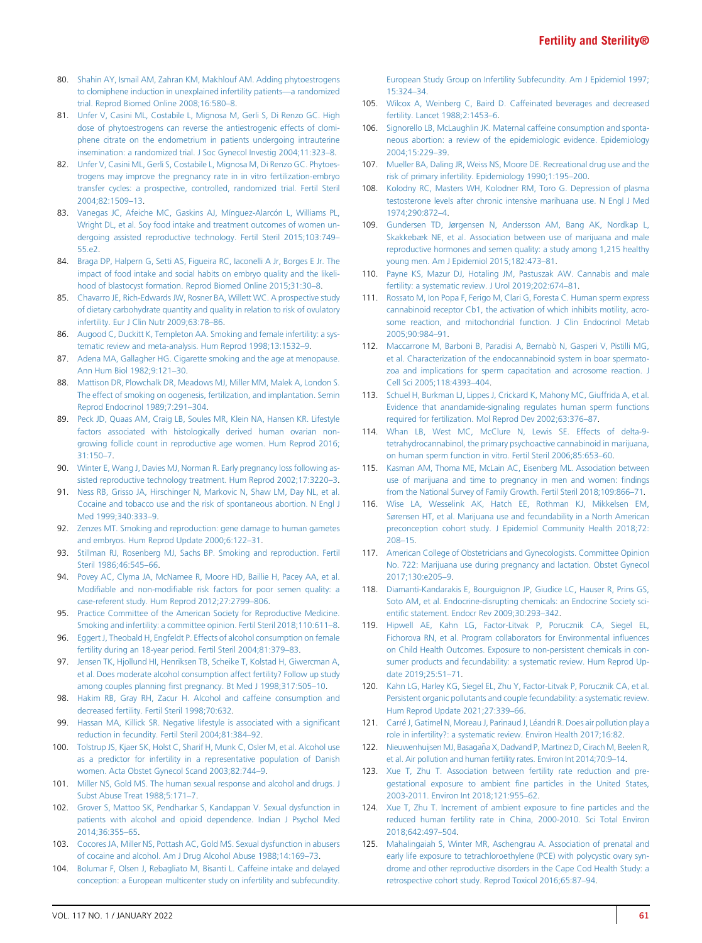- 80. [Shahin AY, Ismail AM, Zahran KM, Makhlouf AM. Adding phytoestrogens](http://refhub.elsevier.com/S0015-0282(21)02130-0/sref80) [to clomiphene induction in unexplained infertility patients](http://refhub.elsevier.com/S0015-0282(21)02130-0/sref80)—a randomized [trial. Reprod Biomed Online 2008;16:580](http://refhub.elsevier.com/S0015-0282(21)02130-0/sref80)–8.
- 81. [Unfer V, Casini ML, Costabile L, Mignosa M, Gerli S, Di Renzo GC. High](http://refhub.elsevier.com/S0015-0282(21)02130-0/sref81) [dose of phytoestrogens can reverse the antiestrogenic effects of clomi](http://refhub.elsevier.com/S0015-0282(21)02130-0/sref81)[phene citrate on the endometrium in patients undergoing intrauterine](http://refhub.elsevier.com/S0015-0282(21)02130-0/sref81) [insemination: a randomized trial. J Soc Gynecol Investig 2004;11:323](http://refhub.elsevier.com/S0015-0282(21)02130-0/sref81)–8.
- 82. [Unfer V, Casini ML, Gerli S, Costabile L, Mignosa M, Di Renzo GC. Phytoes](http://refhub.elsevier.com/S0015-0282(21)02130-0/sref82)[trogens may improve the pregnancy rate in in vitro fertilization-embryo](http://refhub.elsevier.com/S0015-0282(21)02130-0/sref82) [transfer cycles: a prospective, controlled, randomized trial. Fertil Steril](http://refhub.elsevier.com/S0015-0282(21)02130-0/sref82) [2004;82:1509](http://refhub.elsevier.com/S0015-0282(21)02130-0/sref82)–13.
- 83. Vanegas JC, Afeiche MC, Gaskins AJ, Mínguez-Alarcón L, Williams PL, [Wright DL, et al. Soy food intake and treatment outcomes of women un](http://refhub.elsevier.com/S0015-0282(21)02130-0/sref83)[dergoing assisted reproductive technology. Fertil Steril 2015;103:749](http://refhub.elsevier.com/S0015-0282(21)02130-0/sref83)– [55.e2](http://refhub.elsevier.com/S0015-0282(21)02130-0/sref83).
- <span id="page-8-0"></span>84. [Braga DP, Halpern G, Setti AS, Figueira RC, Iaconelli A Jr, Borges E Jr. The](http://refhub.elsevier.com/S0015-0282(21)02130-0/sref84) [impact of food intake and social habits on embryo quality and the likeli](http://refhub.elsevier.com/S0015-0282(21)02130-0/sref84)[hood of blastocyst formation. Reprod Biomed Online 2015;31:30](http://refhub.elsevier.com/S0015-0282(21)02130-0/sref84)–8.
- <span id="page-8-1"></span>85. [Chavarro JE, Rich-Edwards JW, Rosner BA, Willett WC. A prospective study](http://refhub.elsevier.com/S0015-0282(21)02130-0/sref85) [of dietary carbohydrate quantity and quality in relation to risk of ovulatory](http://refhub.elsevier.com/S0015-0282(21)02130-0/sref85) [infertility. Eur J Clin Nutr 2009;63:78](http://refhub.elsevier.com/S0015-0282(21)02130-0/sref85)–86.
- <span id="page-8-2"></span>86. [Augood C, Duckitt K, Templeton AA. Smoking and female infertility: a sys](http://refhub.elsevier.com/S0015-0282(21)02130-0/sref86)[tematic review and meta-analysis. Hum Reprod 1998;13:1532](http://refhub.elsevier.com/S0015-0282(21)02130-0/sref86)–9.
- <span id="page-8-3"></span>87. [Adena MA, Gallagher HG. Cigarette smoking and the age at menopause.](http://refhub.elsevier.com/S0015-0282(21)02130-0/sref87) [Ann Hum Biol 1982;9:121](http://refhub.elsevier.com/S0015-0282(21)02130-0/sref87)–30.
- <span id="page-8-4"></span>88. [Mattison DR, Plowchalk DR, Meadows MJ, Miller MM, Malek A, London S.](http://refhub.elsevier.com/S0015-0282(21)02130-0/sref88) [The effect of smoking on oogenesis, fertilization, and implantation. Semin](http://refhub.elsevier.com/S0015-0282(21)02130-0/sref88) [Reprod Endocrinol 1989;7:291](http://refhub.elsevier.com/S0015-0282(21)02130-0/sref88)–304.
- <span id="page-8-5"></span>89. [Peck JD, Quaas AM, Craig LB, Soules MR, Klein NA, Hansen KR. Lifestyle](http://refhub.elsevier.com/S0015-0282(21)02130-0/sref89) [factors associated with histologically derived human ovarian non](http://refhub.elsevier.com/S0015-0282(21)02130-0/sref89)[growing follicle count in reproductive age women. Hum Reprod 2016;](http://refhub.elsevier.com/S0015-0282(21)02130-0/sref89) [31:150](http://refhub.elsevier.com/S0015-0282(21)02130-0/sref89)–7.
- <span id="page-8-6"></span>90. [Winter E, Wang J, Davies MJ, Norman R. Early pregnancy loss following as](http://refhub.elsevier.com/S0015-0282(21)02130-0/sref90)[sisted reproductive technology treatment. Hum Reprod 2002;17:3220](http://refhub.elsevier.com/S0015-0282(21)02130-0/sref90)–3.
- <span id="page-8-7"></span>91. [Ness RB, Grisso JA, Hirschinger N, Markovic N, Shaw LM, Day NL, et al.](http://refhub.elsevier.com/S0015-0282(21)02130-0/sref91) [Cocaine and tobacco use and the risk of spontaneous abortion. N Engl J](http://refhub.elsevier.com/S0015-0282(21)02130-0/sref91) [Med 1999;340:333](http://refhub.elsevier.com/S0015-0282(21)02130-0/sref91)–9.
- <span id="page-8-8"></span>92. [Zenzes MT. Smoking and reproduction: gene damage to human gametes](http://refhub.elsevier.com/S0015-0282(21)02130-0/sref92) [and embryos. Hum Reprod Update 2000;6:122](http://refhub.elsevier.com/S0015-0282(21)02130-0/sref92)–31.
- 93. [Stillman RJ, Rosenberg MJ, Sachs BP. Smoking and reproduction. Fertil](http://refhub.elsevier.com/S0015-0282(21)02130-0/sref93) [Steril 1986;46:545](http://refhub.elsevier.com/S0015-0282(21)02130-0/sref93)–66.
- <span id="page-8-17"></span>94. [Povey AC, Clyma JA, McNamee R, Moore HD, Baillie H, Pacey AA, et al.](http://refhub.elsevier.com/S0015-0282(21)02130-0/sref94) Modifiable and non-modifi[able risk factors for poor semen quality: a](http://refhub.elsevier.com/S0015-0282(21)02130-0/sref94) [case-referent study. Hum Reprod 2012;27:2799](http://refhub.elsevier.com/S0015-0282(21)02130-0/sref94)–806.
- <span id="page-8-9"></span>95. [Practice Committee of the American Society for Reproductive Medicine.](http://refhub.elsevier.com/S0015-0282(21)02130-0/sref95) [Smoking and infertility: a committee opinion. Fertil Steril 2018;110:611](http://refhub.elsevier.com/S0015-0282(21)02130-0/sref95)–8.
- <span id="page-8-10"></span>96. [Eggert J, Theobald H, Engfeldt P. Effects of alcohol consumption on female](http://refhub.elsevier.com/S0015-0282(21)02130-0/sref96) [fertility during an 18-year period. Fertil Steril 2004;81:379](http://refhub.elsevier.com/S0015-0282(21)02130-0/sref96)–83.
- <span id="page-8-12"></span>97. [Jensen TK, Hjollund HI, Henriksen TB, Scheike T, Kolstad H, Giwercman A,](http://refhub.elsevier.com/S0015-0282(21)02130-0/sref97) [et al. Does moderate alcohol consumption affect fertility? Follow up study](http://refhub.elsevier.com/S0015-0282(21)02130-0/sref97) among couples planning fi[rst pregnancy. Bt Med J 1998;317:505](http://refhub.elsevier.com/S0015-0282(21)02130-0/sref97)–10.
- <span id="page-8-13"></span>98. [Hakim RB, Gray RH, Zacur H. Alcohol and caffeine consumption and](http://refhub.elsevier.com/S0015-0282(21)02130-0/sref98) [decreased fertility. Fertil Steril 1998;70:632](http://refhub.elsevier.com/S0015-0282(21)02130-0/sref98).
- <span id="page-8-14"></span>99. [Hassan MA, Killick SR. Negative lifestyle is associated with a signi](http://refhub.elsevier.com/S0015-0282(21)02130-0/sref99)ficant [reduction in fecundity. Fertil Steril 2004;81:384](http://refhub.elsevier.com/S0015-0282(21)02130-0/sref99)–92.
- <span id="page-8-11"></span>100. [Tolstrup JS, Kjaer SK, Holst C, Sharif H, Munk C, Osler M, et al. Alcohol use](http://refhub.elsevier.com/S0015-0282(21)02130-0/sref100) [as a predictor for infertility in a representative population of Danish](http://refhub.elsevier.com/S0015-0282(21)02130-0/sref100) [women. Acta Obstet Gynecol Scand 2003;82:744](http://refhub.elsevier.com/S0015-0282(21)02130-0/sref100)–9.
- <span id="page-8-15"></span>101. [Miller NS, Gold MS. The human sexual response and alcohol and drugs. J](http://refhub.elsevier.com/S0015-0282(21)02130-0/sref101) [Subst Abuse Treat 1988;5:171](http://refhub.elsevier.com/S0015-0282(21)02130-0/sref101)–7.
- 102. [Grover S, Mattoo SK, Pendharkar S, Kandappan V. Sexual dysfunction in](http://refhub.elsevier.com/S0015-0282(21)02130-0/sref102) [patients with alcohol and opioid dependence. Indian J Psychol Med](http://refhub.elsevier.com/S0015-0282(21)02130-0/sref102) [2014;36:355](http://refhub.elsevier.com/S0015-0282(21)02130-0/sref102)–65.
- 103. [Cocores JA, Miller NS, Pottash AC, Gold MS. Sexual dysfunction in abusers](http://refhub.elsevier.com/S0015-0282(21)02130-0/sref103) [of cocaine and alcohol. Am J Drug Alcohol Abuse 1988;14:169](http://refhub.elsevier.com/S0015-0282(21)02130-0/sref103)–73.
- <span id="page-8-16"></span>104. [Bolumar F, Olsen J, Rebagliato M, Bisanti L. Caffeine intake and delayed](http://refhub.elsevier.com/S0015-0282(21)02130-0/sref104) [conception: a European multicenter study on infertility and subfecundity.](http://refhub.elsevier.com/S0015-0282(21)02130-0/sref104)

[European Study Group on Infertility Subfecundity. Am J Epidemiol 1997;](http://refhub.elsevier.com/S0015-0282(21)02130-0/sref104) [15:324](http://refhub.elsevier.com/S0015-0282(21)02130-0/sref104)–34.

- 105. [Wilcox A, Weinberg C, Baird D. Caffeinated beverages and decreased](http://refhub.elsevier.com/S0015-0282(21)02130-0/sref105) [fertility. Lancet 1988;2:1453](http://refhub.elsevier.com/S0015-0282(21)02130-0/sref105)–6.
- 106. [Signorello LB, McLaughlin JK. Maternal caffeine consumption and sponta](http://refhub.elsevier.com/S0015-0282(21)02130-0/sref106)[neous abortion: a review of the epidemiologic evidence. Epidemiology](http://refhub.elsevier.com/S0015-0282(21)02130-0/sref106) [2004;15:229](http://refhub.elsevier.com/S0015-0282(21)02130-0/sref106)–39.
- <span id="page-8-18"></span>107. [Mueller BA, Daling JR, Weiss NS, Moore DE. Recreational drug use and the](http://refhub.elsevier.com/S0015-0282(21)02130-0/sref107) [risk of primary infertility. Epidemiology 1990;1:195](http://refhub.elsevier.com/S0015-0282(21)02130-0/sref107)–200.
- <span id="page-8-19"></span>108. [Kolodny RC, Masters WH, Kolodner RM, Toro G. Depression of plasma](http://refhub.elsevier.com/S0015-0282(21)02130-0/sref108) [testosterone levels after chronic intensive marihuana use. N Engl J Med](http://refhub.elsevier.com/S0015-0282(21)02130-0/sref108) [1974;290:872](http://refhub.elsevier.com/S0015-0282(21)02130-0/sref108)–4.
- 109. [Gundersen TD, Jørgensen N, Andersson AM, Bang AK, Nordkap L,](http://refhub.elsevier.com/S0015-0282(21)02130-0/sref109) [Skakkebæk NE, et al. Association between use of marijuana and male](http://refhub.elsevier.com/S0015-0282(21)02130-0/sref109) [reproductive hormones and semen quality: a study among 1,215 healthy](http://refhub.elsevier.com/S0015-0282(21)02130-0/sref109) [young men. Am J Epidemiol 2015;182:473](http://refhub.elsevier.com/S0015-0282(21)02130-0/sref109)–81.
- <span id="page-8-20"></span>110. [Payne KS, Mazur DJ, Hotaling JM, Pastuszak AW. Cannabis and male](http://refhub.elsevier.com/S0015-0282(21)02130-0/sref110) [fertility: a systematic review. J Urol 2019;202:674](http://refhub.elsevier.com/S0015-0282(21)02130-0/sref110)–81.
- 111. [Rossato M, Ion Popa F, Ferigo M, Clari G, Foresta C. Human sperm express](http://refhub.elsevier.com/S0015-0282(21)02130-0/sref111) [cannabinoid receptor Cb1, the activation of which inhibits motility, acro](http://refhub.elsevier.com/S0015-0282(21)02130-0/sref111)[some reaction, and mitochondrial function. J Clin Endocrinol Metab](http://refhub.elsevier.com/S0015-0282(21)02130-0/sref111) [2005;90:984](http://refhub.elsevier.com/S0015-0282(21)02130-0/sref111)–91.
- 112. [Maccarrone M, Barboni B, Paradisi A, Bernab](http://refhub.elsevier.com/S0015-0282(21)02130-0/sref112)ò [N, Gasperi V, Pistilli MG,](http://refhub.elsevier.com/S0015-0282(21)02130-0/sref112) [et al. Characterization of the endocannabinoid system in boar spermato](http://refhub.elsevier.com/S0015-0282(21)02130-0/sref112)[zoa and implications for sperm capacitation and acrosome reaction. J](http://refhub.elsevier.com/S0015-0282(21)02130-0/sref112) [Cell Sci 2005;118:4393](http://refhub.elsevier.com/S0015-0282(21)02130-0/sref112)–404.
- 113. [Schuel H, Burkman LJ, Lippes J, Crickard K, Mahony MC, Giuffrida A, et al.](http://refhub.elsevier.com/S0015-0282(21)02130-0/sref113) [Evidence that anandamide-signaling regulates human sperm functions](http://refhub.elsevier.com/S0015-0282(21)02130-0/sref113) [required for fertilization. Mol Reprod Dev 2002;63:376](http://refhub.elsevier.com/S0015-0282(21)02130-0/sref113)–87.
- 114. [Whan LB, West MC, McClure N, Lewis SE. Effects of delta-9](http://refhub.elsevier.com/S0015-0282(21)02130-0/sref114) [tetrahydrocannabinol, the primary psychoactive cannabinoid in marijuana,](http://refhub.elsevier.com/S0015-0282(21)02130-0/sref114) [on human sperm function in vitro. Fertil Steril 2006;85:653](http://refhub.elsevier.com/S0015-0282(21)02130-0/sref114)–60.
- <span id="page-8-21"></span>115. [Kasman AM, Thoma ME, McLain AC, Eisenberg ML. Association between](http://refhub.elsevier.com/S0015-0282(21)02130-0/sref115) [use of marijuana and time to pregnancy in men and women:](http://refhub.elsevier.com/S0015-0282(21)02130-0/sref115) findings [from the National Survey of Family Growth. Fertil Steril 2018;109:866](http://refhub.elsevier.com/S0015-0282(21)02130-0/sref115)–71.
- <span id="page-8-22"></span>116. [Wise LA, Wesselink AK, Hatch EE, Rothman KJ, Mikkelsen EM,](http://refhub.elsevier.com/S0015-0282(21)02130-0/sref116) [Sørensen HT, et al. Marijuana use and fecundability in a North American](http://refhub.elsevier.com/S0015-0282(21)02130-0/sref116) [preconception cohort study. J Epidemiol Community Health 2018;72:](http://refhub.elsevier.com/S0015-0282(21)02130-0/sref116) [208](http://refhub.elsevier.com/S0015-0282(21)02130-0/sref116)–15.
- <span id="page-8-23"></span>117. [American College of Obstetricians and Gynecologists. Committee Opinion](http://refhub.elsevier.com/S0015-0282(21)02130-0/sref117) [No. 722: Marijuana use during pregnancy and lactation. Obstet Gynecol](http://refhub.elsevier.com/S0015-0282(21)02130-0/sref117) [2017;130:e205](http://refhub.elsevier.com/S0015-0282(21)02130-0/sref117)–9.
- <span id="page-8-24"></span>118. [Diamanti-Kandarakis E, Bourguignon JP, Giudice LC, Hauser R, Prins GS,](http://refhub.elsevier.com/S0015-0282(21)02130-0/sref118) [Soto AM, et al. Endocrine-disrupting chemicals: an Endocrine Society sci](http://refhub.elsevier.com/S0015-0282(21)02130-0/sref118)entifi[c statement. Endocr Rev 2009;30:293](http://refhub.elsevier.com/S0015-0282(21)02130-0/sref118)–342.
- <span id="page-8-25"></span>119. [Hipwell AE, Kahn LG, Factor-Litvak P, Porucznik CA, Siegel EL,](http://refhub.elsevier.com/S0015-0282(21)02130-0/sref119) [Fichorova RN, et al. Program collaborators for Environmental in](http://refhub.elsevier.com/S0015-0282(21)02130-0/sref119)fluences [on Child Health Outcomes. Exposure to non-persistent chemicals in con](http://refhub.elsevier.com/S0015-0282(21)02130-0/sref119)[sumer products and fecundability: a systematic review. Hum Reprod Up](http://refhub.elsevier.com/S0015-0282(21)02130-0/sref119)[date 2019;25:51](http://refhub.elsevier.com/S0015-0282(21)02130-0/sref119)–71.
- <span id="page-8-26"></span>120. [Kahn LG, Harley KG, Siegel EL, Zhu Y, Factor-Litvak P, Porucznik CA, et al.](http://refhub.elsevier.com/S0015-0282(21)02130-0/sref120) [Persistent organic pollutants and couple fecundability: a systematic review.](http://refhub.elsevier.com/S0015-0282(21)02130-0/sref120) [Hum Reprod Update 2021;27:339](http://refhub.elsevier.com/S0015-0282(21)02130-0/sref120)–66.
- <span id="page-8-27"></span>121. [Carr](http://refhub.elsevier.com/S0015-0282(21)02130-0/sref121)é [J, Gatimel N, Moreau J, Parinaud J, L](http://refhub.elsevier.com/S0015-0282(21)02130-0/sref121)éandri R. Does air pollution play a [role in infertility?: a systematic review. Environ Health 2017;16:82](http://refhub.elsevier.com/S0015-0282(21)02130-0/sref121).
- <span id="page-8-28"></span>122. Nieuwenhuijsen MJ, Basagaña X, Dadvand P, Martinez D, Cirach M, Beelen R, [et al. Air pollution and human fertility rates. Environ Int 2014;70:9](http://refhub.elsevier.com/S0015-0282(21)02130-0/sref122)–14.
- <span id="page-8-29"></span>123. [Xue T, Zhu T. Association between fertility rate reduction and pre](http://refhub.elsevier.com/S0015-0282(21)02130-0/sref123)gestational exposure to ambient fi[ne particles in the United States,](http://refhub.elsevier.com/S0015-0282(21)02130-0/sref123) [2003-2011. Environ Int 2018;121:955](http://refhub.elsevier.com/S0015-0282(21)02130-0/sref123)–62.
- <span id="page-8-30"></span>124. [Xue T, Zhu T. Increment of ambient exposure to](http://refhub.elsevier.com/S0015-0282(21)02130-0/sref124) fine particles and the [reduced human fertility rate in China, 2000-2010. Sci Total Environ](http://refhub.elsevier.com/S0015-0282(21)02130-0/sref124) [2018;642:497](http://refhub.elsevier.com/S0015-0282(21)02130-0/sref124)–504.
- <span id="page-8-31"></span>125. [Mahalingaiah S, Winter MR, Aschengrau A. Association of prenatal and](http://refhub.elsevier.com/S0015-0282(21)02130-0/sref125) [early life exposure to tetrachloroethylene \(PCE\) with polycystic ovary syn](http://refhub.elsevier.com/S0015-0282(21)02130-0/sref125)[drome and other reproductive disorders in the Cape Cod Health Study: a](http://refhub.elsevier.com/S0015-0282(21)02130-0/sref125) [retrospective cohort study. Reprod Toxicol 2016;65:87](http://refhub.elsevier.com/S0015-0282(21)02130-0/sref125)–94.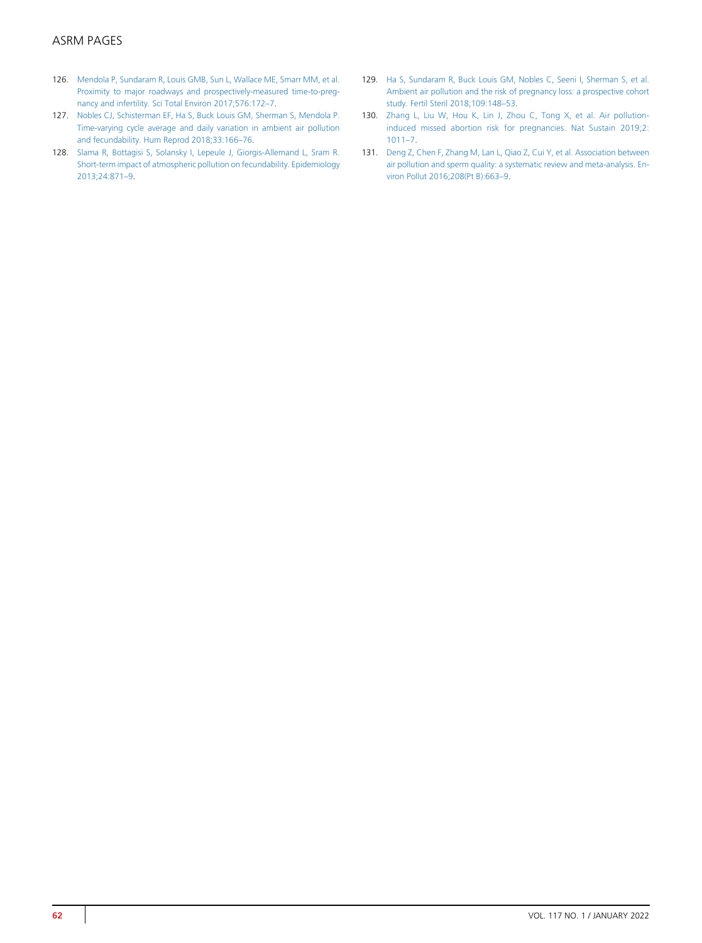# ASRM PAGES

- <span id="page-9-0"></span>126. [Mendola P, Sundaram R, Louis GMB, Sun L, Wallace ME, Smarr MM, et al.](http://refhub.elsevier.com/S0015-0282(21)02130-0/sref126) [Proximity to major roadways and prospectively-measured time-to-preg](http://refhub.elsevier.com/S0015-0282(21)02130-0/sref126)[nancy and infertility. Sci Total Environ 2017;576:172](http://refhub.elsevier.com/S0015-0282(21)02130-0/sref126)–7.
- <span id="page-9-1"></span>127. [Nobles CJ, Schisterman EF, Ha S, Buck Louis GM, Sherman S, Mendola P.](http://refhub.elsevier.com/S0015-0282(21)02130-0/sref127) [Time-varying cycle average and daily variation in ambient air pollution](http://refhub.elsevier.com/S0015-0282(21)02130-0/sref127) [and fecundability. Hum Reprod 2018;33:166](http://refhub.elsevier.com/S0015-0282(21)02130-0/sref127)–76.
- <span id="page-9-2"></span>128. [Slama R, Bottagisi S, Solansky I, Lepeule J, Giorgis-Allemand L, Sram R.](http://refhub.elsevier.com/S0015-0282(21)02130-0/sref128) [Short-term impact of atmospheric pollution on fecundability. Epidemiology](http://refhub.elsevier.com/S0015-0282(21)02130-0/sref128) [2013;24:871](http://refhub.elsevier.com/S0015-0282(21)02130-0/sref128)–9.
- <span id="page-9-3"></span>129. [Ha S, Sundaram R, Buck Louis GM, Nobles C, Seeni I, Sherman S, et al.](http://refhub.elsevier.com/S0015-0282(21)02130-0/sref129) [Ambient air pollution and the risk of pregnancy loss: a prospective cohort](http://refhub.elsevier.com/S0015-0282(21)02130-0/sref129) [study. Fertil Steril 2018;109:148](http://refhub.elsevier.com/S0015-0282(21)02130-0/sref129)–53.
- <span id="page-9-4"></span>130. [Zhang L, Liu W, Hou K, Lin J, Zhou C, Tong X, et al. Air pollution](http://refhub.elsevier.com/S0015-0282(21)02130-0/sref130)[induced missed abortion risk for pregnancies. Nat Sustain 2019;2:](http://refhub.elsevier.com/S0015-0282(21)02130-0/sref130) [1011](http://refhub.elsevier.com/S0015-0282(21)02130-0/sref130)–7.
- <span id="page-9-5"></span>131. [Deng Z, Chen F, Zhang M, Lan L, Qiao Z, Cui Y, et al. Association between](http://refhub.elsevier.com/S0015-0282(21)02130-0/sref131) [air pollution and sperm quality: a systematic review and meta-analysis. En](http://refhub.elsevier.com/S0015-0282(21)02130-0/sref131)[viron Pollut 2016;208\(Pt B\):663](http://refhub.elsevier.com/S0015-0282(21)02130-0/sref131)–9.